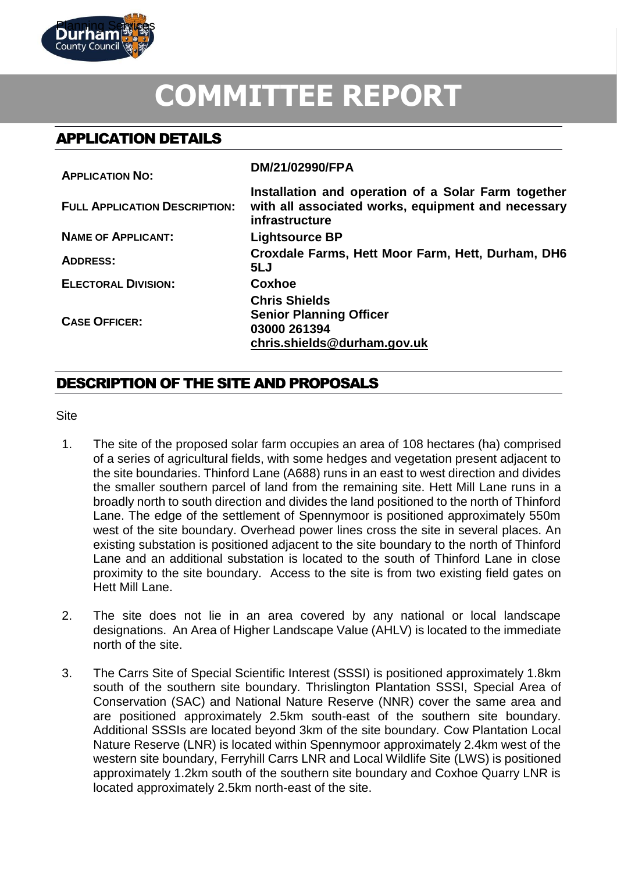

# **COMMITTEE REPORT**

# APPLICATION DETAILS

| <b>APPLICATION NO:</b>               | DM/21/02990/FPA                                                                                                             |
|--------------------------------------|-----------------------------------------------------------------------------------------------------------------------------|
| <b>FULL APPLICATION DESCRIPTION:</b> | Installation and operation of a Solar Farm together<br>with all associated works, equipment and necessary<br>infrastructure |
| <b>NAME OF APPLICANT:</b>            | <b>Lightsource BP</b>                                                                                                       |
| <b>ADDRESS:</b>                      | Croxdale Farms, Hett Moor Farm, Hett, Durham, DH6<br>5LJ                                                                    |
| <b>ELECTORAL DIVISION:</b>           | Coxhoe                                                                                                                      |
| <b>CASE OFFICER:</b>                 | <b>Chris Shields</b><br><b>Senior Planning Officer</b><br>03000 261394<br>chris.shields@durham.gov.uk                       |

# DESCRIPTION OF THE SITE AND PROPOSALS

**Site** 

- 1. The site of the proposed solar farm occupies an area of 108 hectares (ha) comprised of a series of agricultural fields, with some hedges and vegetation present adjacent to the site boundaries. Thinford Lane (A688) runs in an east to west direction and divides the smaller southern parcel of land from the remaining site. Hett Mill Lane runs in a broadly north to south direction and divides the land positioned to the north of Thinford Lane. The edge of the settlement of Spennymoor is positioned approximately 550m west of the site boundary. Overhead power lines cross the site in several places. An existing substation is positioned adjacent to the site boundary to the north of Thinford Lane and an additional substation is located to the south of Thinford Lane in close proximity to the site boundary. Access to the site is from two existing field gates on Hett Mill Lane.
- 2. The site does not lie in an area covered by any national or local landscape designations. An Area of Higher Landscape Value (AHLV) is located to the immediate north of the site.
- 3. The Carrs Site of Special Scientific Interest (SSSI) is positioned approximately 1.8km south of the southern site boundary. Thrislington Plantation SSSI, Special Area of Conservation (SAC) and National Nature Reserve (NNR) cover the same area and are positioned approximately 2.5km south-east of the southern site boundary. Additional SSSIs are located beyond 3km of the site boundary. Cow Plantation Local Nature Reserve (LNR) is located within Spennymoor approximately 2.4km west of the western site boundary, Ferryhill Carrs LNR and Local Wildlife Site (LWS) is positioned approximately 1.2km south of the southern site boundary and Coxhoe Quarry LNR is located approximately 2.5km north-east of the site.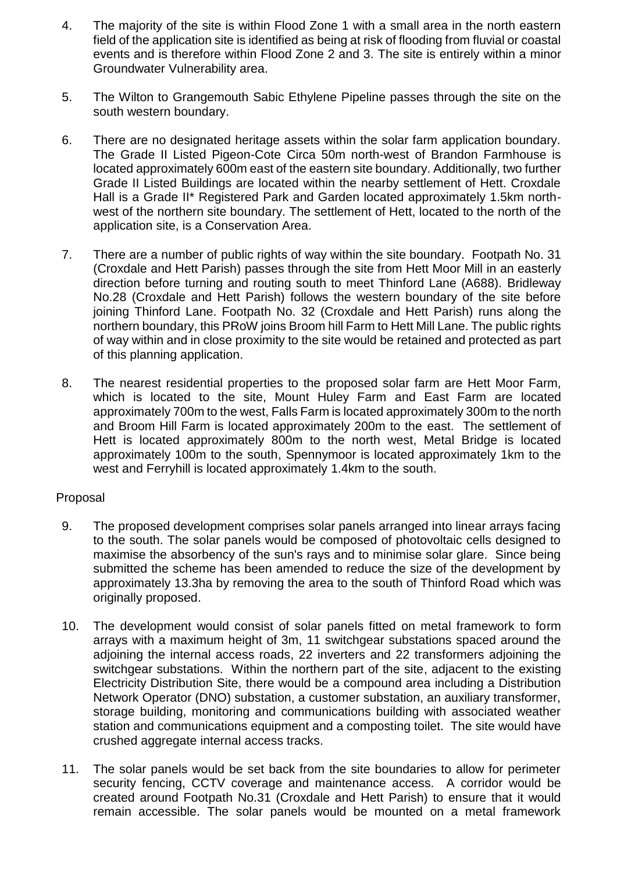- 4. The majority of the site is within Flood Zone 1 with a small area in the north eastern field of the application site is identified as being at risk of flooding from fluvial or coastal events and is therefore within Flood Zone 2 and 3. The site is entirely within a minor Groundwater Vulnerability area.
- 5. The Wilton to Grangemouth Sabic Ethylene Pipeline passes through the site on the south western boundary.
- 6. There are no designated heritage assets within the solar farm application boundary. The Grade II Listed Pigeon-Cote Circa 50m north-west of Brandon Farmhouse is located approximately 600m east of the eastern site boundary. Additionally, two further Grade II Listed Buildings are located within the nearby settlement of Hett. Croxdale Hall is a Grade II\* Registered Park and Garden located approximately 1.5km northwest of the northern site boundary. The settlement of Hett, located to the north of the application site, is a Conservation Area.
- 7. There are a number of public rights of way within the site boundary. Footpath No. 31 (Croxdale and Hett Parish) passes through the site from Hett Moor Mill in an easterly direction before turning and routing south to meet Thinford Lane (A688). Bridleway No.28 (Croxdale and Hett Parish) follows the western boundary of the site before joining Thinford Lane. Footpath No. 32 (Croxdale and Hett Parish) runs along the northern boundary, this PRoW joins Broom hill Farm to Hett Mill Lane. The public rights of way within and in close proximity to the site would be retained and protected as part of this planning application.
- 8. The nearest residential properties to the proposed solar farm are Hett Moor Farm, which is located to the site, Mount Huley Farm and East Farm are located approximately 700m to the west, Falls Farm is located approximately 300m to the north and Broom Hill Farm is located approximately 200m to the east. The settlement of Hett is located approximately 800m to the north west, Metal Bridge is located approximately 100m to the south, Spennymoor is located approximately 1km to the west and Ferryhill is located approximately 1.4km to the south.

## Proposal

- 9. The proposed development comprises solar panels arranged into linear arrays facing to the south. The solar panels would be composed of photovoltaic cells designed to maximise the absorbency of the sun's rays and to minimise solar glare. Since being submitted the scheme has been amended to reduce the size of the development by approximately 13.3ha by removing the area to the south of Thinford Road which was originally proposed.
- 10. The development would consist of solar panels fitted on metal framework to form arrays with a maximum height of 3m, 11 switchgear substations spaced around the adjoining the internal access roads, 22 inverters and 22 transformers adjoining the switchgear substations. Within the northern part of the site, adjacent to the existing Electricity Distribution Site, there would be a compound area including a Distribution Network Operator (DNO) substation, a customer substation, an auxiliary transformer, storage building, monitoring and communications building with associated weather station and communications equipment and a composting toilet. The site would have crushed aggregate internal access tracks.
- 11. The solar panels would be set back from the site boundaries to allow for perimeter security fencing, CCTV coverage and maintenance access. A corridor would be created around Footpath No.31 (Croxdale and Hett Parish) to ensure that it would remain accessible. The solar panels would be mounted on a metal framework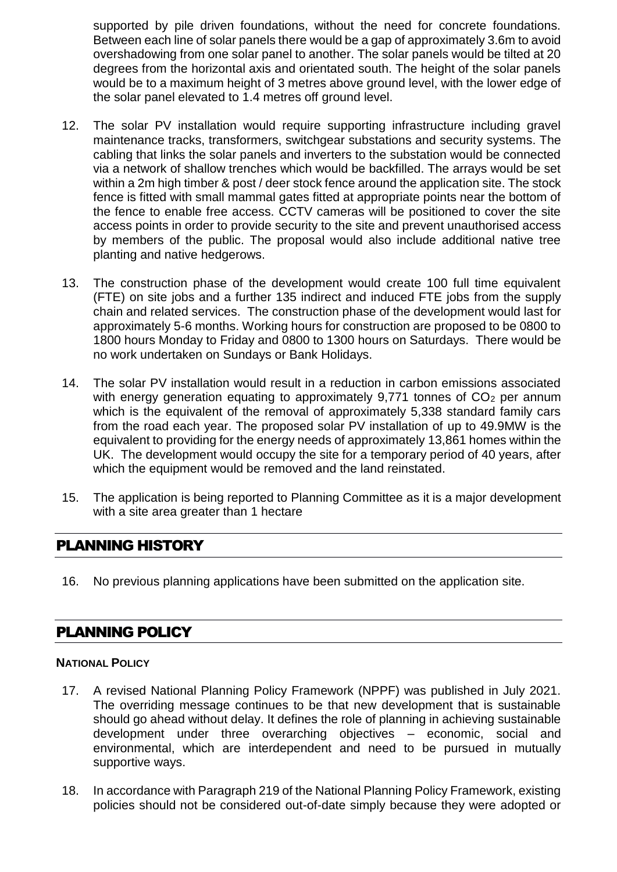supported by pile driven foundations, without the need for concrete foundations. Between each line of solar panels there would be a gap of approximately 3.6m to avoid overshadowing from one solar panel to another. The solar panels would be tilted at 20 degrees from the horizontal axis and orientated south. The height of the solar panels would be to a maximum height of 3 metres above ground level, with the lower edge of the solar panel elevated to 1.4 metres off ground level.

- 12. The solar PV installation would require supporting infrastructure including gravel maintenance tracks, transformers, switchgear substations and security systems. The cabling that links the solar panels and inverters to the substation would be connected via a network of shallow trenches which would be backfilled. The arrays would be set within a 2m high timber & post / deer stock fence around the application site. The stock fence is fitted with small mammal gates fitted at appropriate points near the bottom of the fence to enable free access. CCTV cameras will be positioned to cover the site access points in order to provide security to the site and prevent unauthorised access by members of the public. The proposal would also include additional native tree planting and native hedgerows.
- 13. The construction phase of the development would create 100 full time equivalent (FTE) on site jobs and a further 135 indirect and induced FTE jobs from the supply chain and related services. The construction phase of the development would last for approximately 5-6 months. Working hours for construction are proposed to be 0800 to 1800 hours Monday to Friday and 0800 to 1300 hours on Saturdays. There would be no work undertaken on Sundays or Bank Holidays.
- 14. The solar PV installation would result in a reduction in carbon emissions associated with energy generation equating to approximately  $9,771$  tonnes of  $CO<sub>2</sub>$  per annum which is the equivalent of the removal of approximately 5,338 standard family cars from the road each year. The proposed solar PV installation of up to 49.9MW is the equivalent to providing for the energy needs of approximately 13,861 homes within the UK. The development would occupy the site for a temporary period of 40 years, after which the equipment would be removed and the land reinstated.
- 15. The application is being reported to Planning Committee as it is a major development with a site area greater than 1 hectare

# PLANNING HISTORY

16. No previous planning applications have been submitted on the application site.

# PLANNING POLICY

## **NATIONAL POLICY**

- 17. A revised National Planning Policy Framework (NPPF) was published in July 2021. The overriding message continues to be that new development that is sustainable should go ahead without delay. It defines the role of planning in achieving sustainable development under three overarching objectives – economic, social and environmental, which are interdependent and need to be pursued in mutually supportive ways.
- 18. In accordance with Paragraph 219 of the National Planning Policy Framework, existing policies should not be considered out-of-date simply because they were adopted or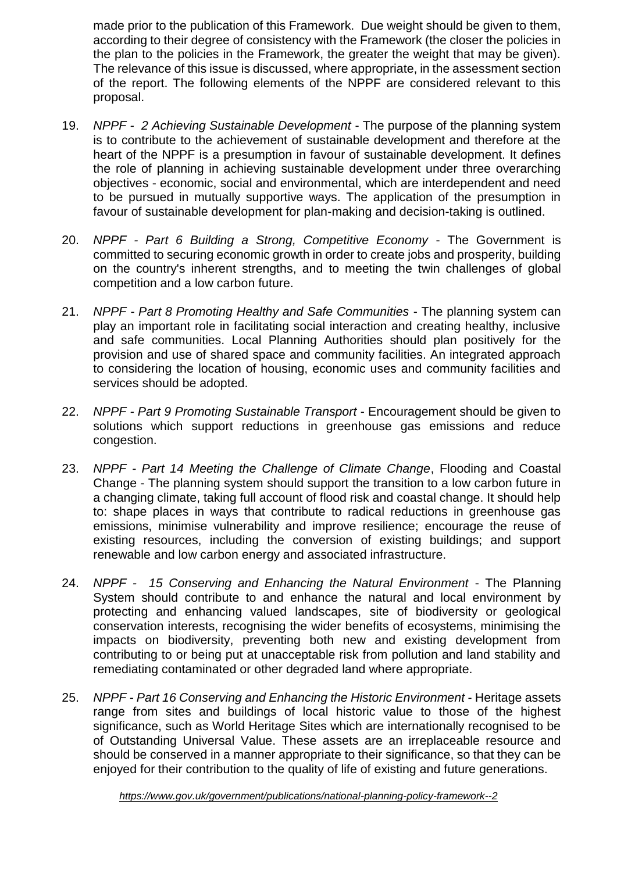made prior to the publication of this Framework. Due weight should be given to them, according to their degree of consistency with the Framework (the closer the policies in the plan to the policies in the Framework, the greater the weight that may be given). The relevance of this issue is discussed, where appropriate, in the assessment section of the report. The following elements of the NPPF are considered relevant to this proposal.

- 19. *NPPF - 2 Achieving Sustainable Development* The purpose of the planning system is to contribute to the achievement of sustainable development and therefore at the heart of the NPPF is a presumption in favour of sustainable development. It defines the role of planning in achieving sustainable development under three overarching objectives - economic, social and environmental, which are interdependent and need to be pursued in mutually supportive ways. The application of the presumption in favour of sustainable development for plan-making and decision-taking is outlined.
- 20. *NPPF - Part 6 Building a Strong, Competitive Economy* The Government is committed to securing economic growth in order to create jobs and prosperity, building on the country's inherent strengths, and to meeting the twin challenges of global competition and a low carbon future.
- 21. *NPPF - Part 8 Promoting Healthy and Safe Communities* The planning system can play an important role in facilitating social interaction and creating healthy, inclusive and safe communities. Local Planning Authorities should plan positively for the provision and use of shared space and community facilities. An integrated approach to considering the location of housing, economic uses and community facilities and services should be adopted.
- 22. *NPPF - Part 9 Promoting Sustainable Transport* Encouragement should be given to solutions which support reductions in greenhouse gas emissions and reduce congestion.
- 23. *NPPF - Part 14 Meeting the Challenge of Climate Change*, Flooding and Coastal Change - The planning system should support the transition to a low carbon future in a changing climate, taking full account of flood risk and coastal change. It should help to: shape places in ways that contribute to radical reductions in greenhouse gas emissions, minimise vulnerability and improve resilience; encourage the reuse of existing resources, including the conversion of existing buildings; and support renewable and low carbon energy and associated infrastructure.
- 24. *NPPF - 15 Conserving and Enhancing the Natural Environment* The Planning System should contribute to and enhance the natural and local environment by protecting and enhancing valued landscapes, site of biodiversity or geological conservation interests, recognising the wider benefits of ecosystems, minimising the impacts on biodiversity, preventing both new and existing development from contributing to or being put at unacceptable risk from pollution and land stability and remediating contaminated or other degraded land where appropriate.
- 25. *NPPF - Part 16 Conserving and Enhancing the Historic Environment* Heritage assets range from sites and buildings of local historic value to those of the highest significance, such as World Heritage Sites which are internationally recognised to be of Outstanding Universal Value. These assets are an irreplaceable resource and should be conserved in a manner appropriate to their significance, so that they can be enjoyed for their contribution to the quality of life of existing and future generations.

*<https://www.gov.uk/government/publications/national-planning-policy-framework--2>*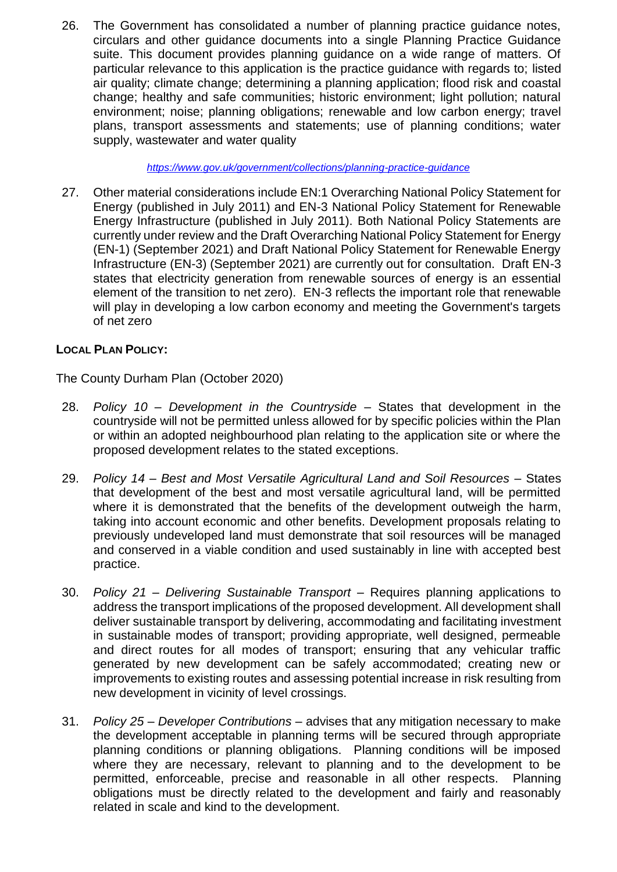26. The Government has consolidated a number of planning practice guidance notes, circulars and other guidance documents into a single Planning Practice Guidance suite. This document provides planning guidance on a wide range of matters. Of particular relevance to this application is the practice guidance with regards to; listed air quality; climate change; determining a planning application; flood risk and coastal change; healthy and safe communities; historic environment; light pollution; natural environment; noise; planning obligations; renewable and low carbon energy; travel plans, transport assessments and statements; use of planning conditions; water supply, wastewater and water quality

*<https://www.gov.uk/government/collections/planning-practice-guidance>*

27. Other material considerations include EN:1 Overarching National Policy Statement for Energy (published in July 2011) and EN-3 National Policy Statement for Renewable Energy Infrastructure (published in July 2011). Both National Policy Statements are currently under review and the Draft Overarching National Policy Statement for Energy (EN-1) (September 2021) and Draft National Policy Statement for Renewable Energy Infrastructure (EN-3) (September 2021) are currently out for consultation. Draft EN-3 states that electricity generation from renewable sources of energy is an essential element of the transition to net zero). EN-3 reflects the important role that renewable will play in developing a low carbon economy and meeting the Government's targets of net zero

# **LOCAL PLAN POLICY:**

The County Durham Plan (October 2020)

- 28. *Policy 10 – Development in the Countryside* States that development in the countryside will not be permitted unless allowed for by specific policies within the Plan or within an adopted neighbourhood plan relating to the application site or where the proposed development relates to the stated exceptions.
- 29. *Policy 14 – Best and Most Versatile Agricultural Land and Soil Resources* States that development of the best and most versatile agricultural land, will be permitted where it is demonstrated that the benefits of the development outweigh the harm, taking into account economic and other benefits. Development proposals relating to previously undeveloped land must demonstrate that soil resources will be managed and conserved in a viable condition and used sustainably in line with accepted best practice.
- 30. *Policy 21 – Delivering Sustainable Transport* Requires planning applications to address the transport implications of the proposed development. All development shall deliver sustainable transport by delivering, accommodating and facilitating investment in sustainable modes of transport; providing appropriate, well designed, permeable and direct routes for all modes of transport; ensuring that any vehicular traffic generated by new development can be safely accommodated; creating new or improvements to existing routes and assessing potential increase in risk resulting from new development in vicinity of level crossings.
- 31. *Policy 25 – Developer Contributions* advises that any mitigation necessary to make the development acceptable in planning terms will be secured through appropriate planning conditions or planning obligations. Planning conditions will be imposed where they are necessary, relevant to planning and to the development to be permitted, enforceable, precise and reasonable in all other respects. Planning obligations must be directly related to the development and fairly and reasonably related in scale and kind to the development.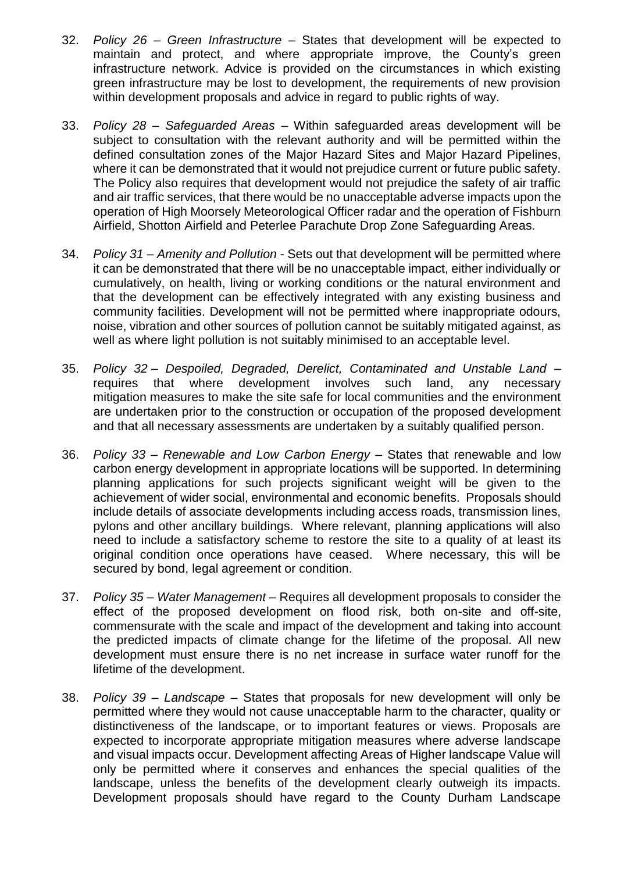- 32. *Policy 26 – Green Infrastructure* States that development will be expected to maintain and protect, and where appropriate improve, the County's green infrastructure network. Advice is provided on the circumstances in which existing green infrastructure may be lost to development, the requirements of new provision within development proposals and advice in regard to public rights of way.
- 33. *Policy 28 – Safeguarded Areas* Within safeguarded areas development will be subject to consultation with the relevant authority and will be permitted within the defined consultation zones of the Major Hazard Sites and Major Hazard Pipelines, where it can be demonstrated that it would not prejudice current or future public safety. The Policy also requires that development would not prejudice the safety of air traffic and air traffic services, that there would be no unacceptable adverse impacts upon the operation of High Moorsely Meteorological Officer radar and the operation of Fishburn Airfield, Shotton Airfield and Peterlee Parachute Drop Zone Safeguarding Areas.
- 34. *Policy 31 – Amenity and Pollution* Sets out that development will be permitted where it can be demonstrated that there will be no unacceptable impact, either individually or cumulatively, on health, living or working conditions or the natural environment and that the development can be effectively integrated with any existing business and community facilities. Development will not be permitted where inappropriate odours, noise, vibration and other sources of pollution cannot be suitably mitigated against, as well as where light pollution is not suitably minimised to an acceptable level.
- 35. *Policy 32 – Despoiled, Degraded, Derelict, Contaminated and Unstable Land –* requires that where development involves such land, any necessary mitigation measures to make the site safe for local communities and the environment are undertaken prior to the construction or occupation of the proposed development and that all necessary assessments are undertaken by a suitably qualified person.
- 36. *Policy 33 – Renewable and Low Carbon Energy* States that renewable and low carbon energy development in appropriate locations will be supported. In determining planning applications for such projects significant weight will be given to the achievement of wider social, environmental and economic benefits. Proposals should include details of associate developments including access roads, transmission lines, pylons and other ancillary buildings. Where relevant, planning applications will also need to include a satisfactory scheme to restore the site to a quality of at least its original condition once operations have ceased. Where necessary, this will be secured by bond, legal agreement or condition.
- 37. *Policy 35 – Water Management* Requires all development proposals to consider the effect of the proposed development on flood risk, both on-site and off-site, commensurate with the scale and impact of the development and taking into account the predicted impacts of climate change for the lifetime of the proposal. All new development must ensure there is no net increase in surface water runoff for the lifetime of the development.
- 38. *Policy 39 – Landscape* States that proposals for new development will only be permitted where they would not cause unacceptable harm to the character, quality or distinctiveness of the landscape, or to important features or views. Proposals are expected to incorporate appropriate mitigation measures where adverse landscape and visual impacts occur. Development affecting Areas of Higher landscape Value will only be permitted where it conserves and enhances the special qualities of the landscape, unless the benefits of the development clearly outweigh its impacts. Development proposals should have regard to the County Durham Landscape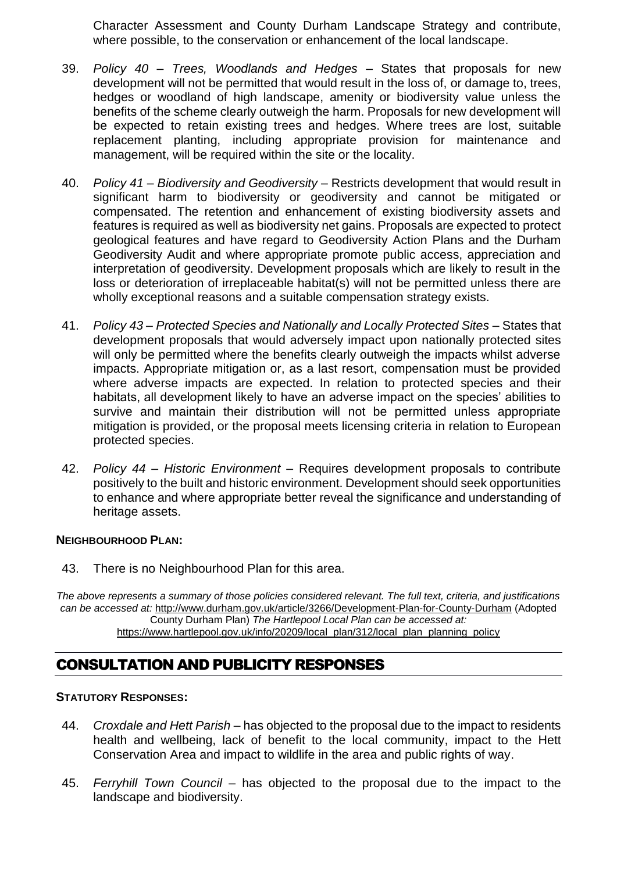Character Assessment and County Durham Landscape Strategy and contribute, where possible, to the conservation or enhancement of the local landscape.

- 39. *Policy 40 – Trees, Woodlands and Hedges* States that proposals for new development will not be permitted that would result in the loss of, or damage to, trees, hedges or woodland of high landscape, amenity or biodiversity value unless the benefits of the scheme clearly outweigh the harm. Proposals for new development will be expected to retain existing trees and hedges. Where trees are lost, suitable replacement planting, including appropriate provision for maintenance and management, will be required within the site or the locality.
- 40. *Policy 41 – Biodiversity and Geodiversity* Restricts development that would result in significant harm to biodiversity or geodiversity and cannot be mitigated or compensated. The retention and enhancement of existing biodiversity assets and features is required as well as biodiversity net gains. Proposals are expected to protect geological features and have regard to Geodiversity Action Plans and the Durham Geodiversity Audit and where appropriate promote public access, appreciation and interpretation of geodiversity. Development proposals which are likely to result in the loss or deterioration of irreplaceable habitat(s) will not be permitted unless there are wholly exceptional reasons and a suitable compensation strategy exists.
- 41. *Policy 43 – Protected Species and Nationally and Locally Protected Sites* States that development proposals that would adversely impact upon nationally protected sites will only be permitted where the benefits clearly outweigh the impacts whilst adverse impacts. Appropriate mitigation or, as a last resort, compensation must be provided where adverse impacts are expected. In relation to protected species and their habitats, all development likely to have an adverse impact on the species' abilities to survive and maintain their distribution will not be permitted unless appropriate mitigation is provided, or the proposal meets licensing criteria in relation to European protected species.
- 42. *Policy 44 – Historic Environment*  Requires development proposals to contribute positively to the built and historic environment. Development should seek opportunities to enhance and where appropriate better reveal the significance and understanding of heritage assets.

#### **NEIGHBOURHOOD PLAN:**

43. There is no Neighbourhood Plan for this area.

*The above represents a summary of those policies considered relevant. The full text, criteria, and justifications can be accessed at:* <http://www.durham.gov.uk/article/3266/Development-Plan-for-County-Durham> (Adopted County Durham Plan) *The Hartlepool Local Plan can be accessed at:* [https://www.hartlepool.gov.uk/info/20209/local\\_plan/312/local\\_plan\\_planning\\_policy](https://www.hartlepool.gov.uk/info/20209/local_plan/312/local_plan_planning_policy)

# CONSULTATION AND PUBLICITY RESPONSES

#### **STATUTORY RESPONSES:**

- 44. *Croxdale and Hett Parish* has objected to the proposal due to the impact to residents health and wellbeing, lack of benefit to the local community, impact to the Hett Conservation Area and impact to wildlife in the area and public rights of way.
- 45. *Ferryhill Town Council* has objected to the proposal due to the impact to the landscape and biodiversity.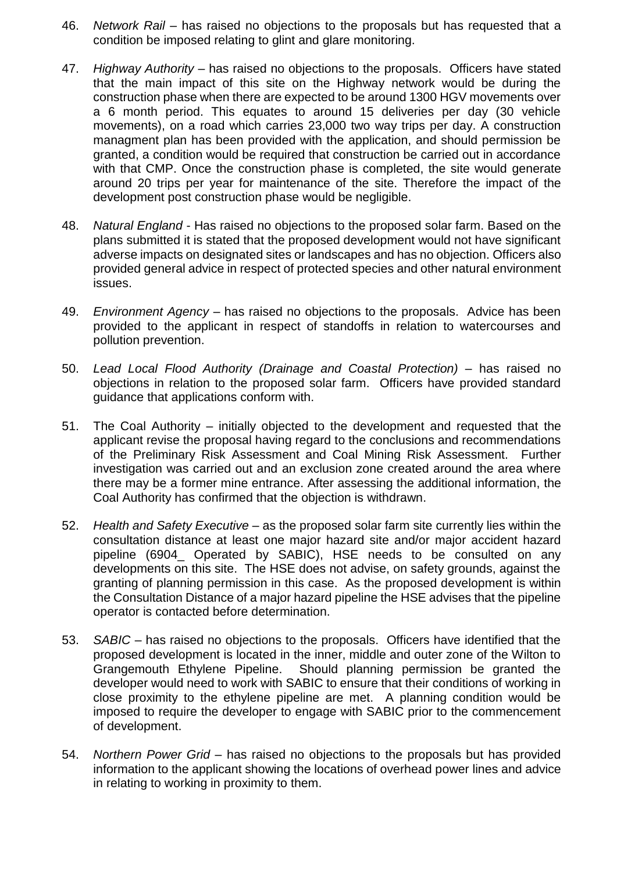- 46. *Network Rail –* has raised no objections to the proposals but has requested that a condition be imposed relating to glint and glare monitoring.
- 47. *Highway Authority* has raised no objections to the proposals. Officers have stated that the main impact of this site on the Highway network would be during the construction phase when there are expected to be around 1300 HGV movements over a 6 month period. This equates to around 15 deliveries per day (30 vehicle movements), on a road which carries 23,000 two way trips per day. A construction managment plan has been provided with the application, and should permission be granted, a condition would be required that construction be carried out in accordance with that CMP. Once the construction phase is completed, the site would generate around 20 trips per year for maintenance of the site. Therefore the impact of the development post construction phase would be negligible.
- 48. *Natural England* Has raised no objections to the proposed solar farm. Based on the plans submitted it is stated that the proposed development would not have significant adverse impacts on designated sites or landscapes and has no objection. Officers also provided general advice in respect of protected species and other natural environment issues.
- 49. *Environment Agency* has raised no objections to the proposals. Advice has been provided to the applicant in respect of standoffs in relation to watercourses and pollution prevention.
- 50. *Lead Local Flood Authority (Drainage and Coastal Protection)* has raised no objections in relation to the proposed solar farm. Officers have provided standard guidance that applications conform with.
- 51. The Coal Authority initially objected to the development and requested that the applicant revise the proposal having regard to the conclusions and recommendations of the Preliminary Risk Assessment and Coal Mining Risk Assessment. Further investigation was carried out and an exclusion zone created around the area where there may be a former mine entrance. After assessing the additional information, the Coal Authority has confirmed that the objection is withdrawn.
- 52. *Health and Safety Executive* as the proposed solar farm site currently lies within the consultation distance at least one major hazard site and/or major accident hazard pipeline (6904\_ Operated by SABIC), HSE needs to be consulted on any developments on this site. The HSE does not advise, on safety grounds, against the granting of planning permission in this case. As the proposed development is within the Consultation Distance of a major hazard pipeline the HSE advises that the pipeline operator is contacted before determination.
- 53. *SABIC* has raised no objections to the proposals. Officers have identified that the proposed development is located in the inner, middle and outer zone of the Wilton to Grangemouth Ethylene Pipeline. Should planning permission be granted the developer would need to work with SABIC to ensure that their conditions of working in close proximity to the ethylene pipeline are met. A planning condition would be imposed to require the developer to engage with SABIC prior to the commencement of development.
- 54. *Northern Power Grid* has raised no objections to the proposals but has provided information to the applicant showing the locations of overhead power lines and advice in relating to working in proximity to them.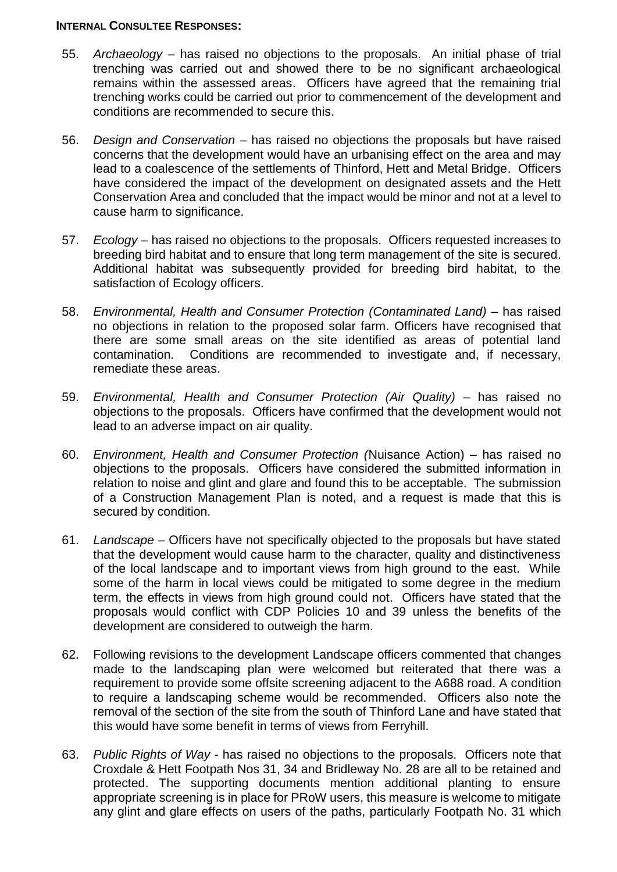#### **INTERNAL CONSULTEE RESPONSES:**

- 55. *Archaeology* has raised no objections to the proposals. An initial phase of trial trenching was carried out and showed there to be no significant archaeological remains within the assessed areas. Officers have agreed that the remaining trial trenching works could be carried out prior to commencement of the development and conditions are recommended to secure this.
- 56. *Design and Conservation* has raised no objections the proposals but have raised concerns that the development would have an urbanising effect on the area and may lead to a coalescence of the settlements of Thinford, Hett and Metal Bridge. Officers have considered the impact of the development on designated assets and the Hett Conservation Area and concluded that the impact would be minor and not at a level to cause harm to significance.
- 57. *Ecology* has raised no objections to the proposals. Officers requested increases to breeding bird habitat and to ensure that long term management of the site is secured. Additional habitat was subsequently provided for breeding bird habitat, to the satisfaction of Ecology officers.
- 58. *Environmental, Health and Consumer Protection (Contaminated Land)*  has raised no objections in relation to the proposed solar farm. Officers have recognised that there are some small areas on the site identified as areas of potential land contamination. Conditions are recommended to investigate and, if necessary, remediate these areas.
- 59. *Environmental, Health and Consumer Protection (Air Quality)* has raised no objections to the proposals. Officers have confirmed that the development would not lead to an adverse impact on air quality.
- 60. *Environment, Health and Consumer Protection (*Nuisance Action) has raised no objections to the proposals. Officers have considered the submitted information in relation to noise and glint and glare and found this to be acceptable. The submission of a Construction Management Plan is noted, and a request is made that this is secured by condition.
- 61. *Landscape* Officers have not specifically objected to the proposals but have stated that the development would cause harm to the character, quality and distinctiveness of the local landscape and to important views from high ground to the east. While some of the harm in local views could be mitigated to some degree in the medium term, the effects in views from high ground could not. Officers have stated that the proposals would conflict with CDP Policies 10 and 39 unless the benefits of the development are considered to outweigh the harm.
- 62. Following revisions to the development Landscape officers commented that changes made to the landscaping plan were welcomed but reiterated that there was a requirement to provide some offsite screening adjacent to the A688 road. A condition to require a landscaping scheme would be recommended. Officers also note the removal of the section of the site from the south of Thinford Lane and have stated that this would have some benefit in terms of views from Ferryhill.
- 63. *Public Rights of Way* has raised no objections to the proposals. Officers note that Croxdale & Hett Footpath Nos 31, 34 and Bridleway No. 28 are all to be retained and protected. The supporting documents mention additional planting to ensure appropriate screening is in place for PRoW users, this measure is welcome to mitigate any glint and glare effects on users of the paths, particularly Footpath No. 31 which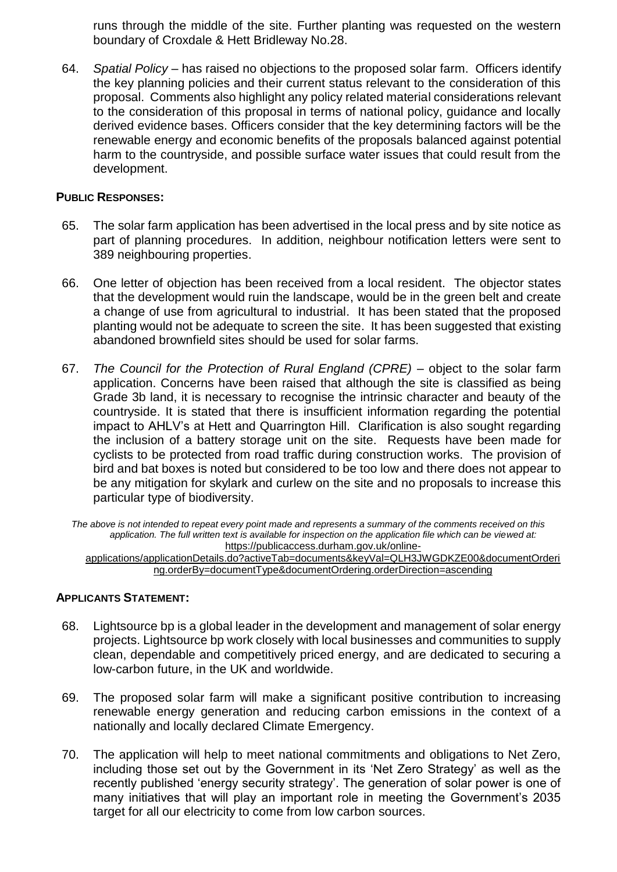runs through the middle of the site. Further planting was requested on the western boundary of Croxdale & Hett Bridleway No.28.

64. *Spatial Policy* – has raised no objections to the proposed solar farm. Officers identify the key planning policies and their current status relevant to the consideration of this proposal. Comments also highlight any policy related material considerations relevant to the consideration of this proposal in terms of national policy, guidance and locally derived evidence bases. Officers consider that the key determining factors will be the renewable energy and economic benefits of the proposals balanced against potential harm to the countryside, and possible surface water issues that could result from the development.

#### **PUBLIC RESPONSES:**

- 65. The solar farm application has been advertised in the local press and by site notice as part of planning procedures. In addition, neighbour notification letters were sent to 389 neighbouring properties.
- 66. One letter of objection has been received from a local resident. The objector states that the development would ruin the landscape, would be in the green belt and create a change of use from agricultural to industrial. It has been stated that the proposed planting would not be adequate to screen the site. It has been suggested that existing abandoned brownfield sites should be used for solar farms.
- 67. *The Council for the Protection of Rural England (CPRE)* object to the solar farm application. Concerns have been raised that although the site is classified as being Grade 3b land, it is necessary to recognise the intrinsic character and beauty of the countryside. It is stated that there is insufficient information regarding the potential impact to AHLV's at Hett and Quarrington Hill. Clarification is also sought regarding the inclusion of a battery storage unit on the site. Requests have been made for cyclists to be protected from road traffic during construction works. The provision of bird and bat boxes is noted but considered to be too low and there does not appear to be any mitigation for skylark and curlew on the site and no proposals to increase this particular type of biodiversity.

*The above is not intended to repeat every point made and represents a summary of the comments received on this application. The full written text is available for inspection on the application file which can be viewed at:*  [https://publicaccess.durham.gov.uk/online-](https://publicaccess.durham.gov.uk/online-applications/applicationDetails.do?activeTab=documents&keyVal=QLH3JWGDKZE00&documentOrdering.orderBy=documentType&documentOrdering.orderDirection=ascending)

[applications/applicationDetails.do?activeTab=documents&keyVal=QLH3JWGDKZE00&documentOrderi](https://publicaccess.durham.gov.uk/online-applications/applicationDetails.do?activeTab=documents&keyVal=QLH3JWGDKZE00&documentOrdering.orderBy=documentType&documentOrdering.orderDirection=ascending) [ng.orderBy=documentType&documentOrdering.orderDirection=ascending](https://publicaccess.durham.gov.uk/online-applications/applicationDetails.do?activeTab=documents&keyVal=QLH3JWGDKZE00&documentOrdering.orderBy=documentType&documentOrdering.orderDirection=ascending)

#### **APPLICANTS STATEMENT:**

- 68. Lightsource bp is a global leader in the development and management of solar energy projects. Lightsource bp work closely with local businesses and communities to supply clean, dependable and competitively priced energy, and are dedicated to securing a low-carbon future, in the UK and worldwide.
- 69. The proposed solar farm will make a significant positive contribution to increasing renewable energy generation and reducing carbon emissions in the context of a nationally and locally declared Climate Emergency.
- 70. The application will help to meet national commitments and obligations to Net Zero, including those set out by the Government in its 'Net Zero Strategy' as well as the recently published 'energy security strategy'. The generation of solar power is one of many initiatives that will play an important role in meeting the Government's 2035 target for all our electricity to come from low carbon sources.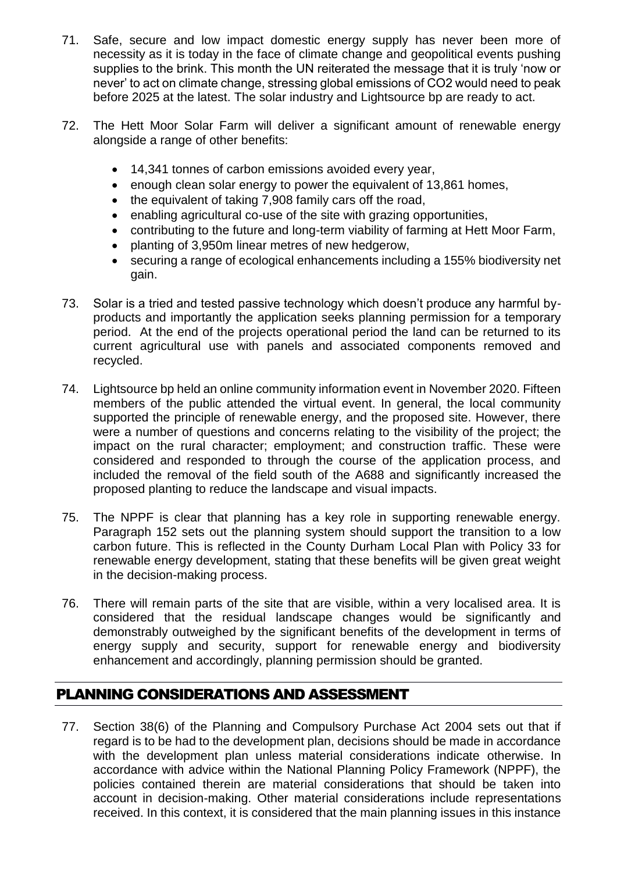- 71. Safe, secure and low impact domestic energy supply has never been more of necessity as it is today in the face of climate change and geopolitical events pushing supplies to the brink. This month the UN reiterated the message that it is truly 'now or never' to act on climate change, stressing global emissions of CO2 would need to peak before 2025 at the latest. The solar industry and Lightsource bp are ready to act.
- 72. The Hett Moor Solar Farm will deliver a significant amount of renewable energy alongside a range of other benefits:
	- 14,341 tonnes of carbon emissions avoided every year,
	- enough clean solar energy to power the equivalent of 13,861 homes,
	- the equivalent of taking 7,908 family cars off the road,
	- enabling agricultural co-use of the site with grazing opportunities,
	- contributing to the future and long-term viability of farming at Hett Moor Farm,
	- planting of 3,950m linear metres of new hedgerow.
	- securing a range of ecological enhancements including a 155% biodiversity net gain.
- 73. Solar is a tried and tested passive technology which doesn't produce any harmful byproducts and importantly the application seeks planning permission for a temporary period. At the end of the projects operational period the land can be returned to its current agricultural use with panels and associated components removed and recycled.
- 74. Lightsource bp held an online community information event in November 2020. Fifteen members of the public attended the virtual event. In general, the local community supported the principle of renewable energy, and the proposed site. However, there were a number of questions and concerns relating to the visibility of the project; the impact on the rural character; employment; and construction traffic. These were considered and responded to through the course of the application process, and included the removal of the field south of the A688 and significantly increased the proposed planting to reduce the landscape and visual impacts.
- 75. The NPPF is clear that planning has a key role in supporting renewable energy. Paragraph 152 sets out the planning system should support the transition to a low carbon future. This is reflected in the County Durham Local Plan with Policy 33 for renewable energy development, stating that these benefits will be given great weight in the decision-making process.
- 76. There will remain parts of the site that are visible, within a very localised area. It is considered that the residual landscape changes would be significantly and demonstrably outweighed by the significant benefits of the development in terms of energy supply and security, support for renewable energy and biodiversity enhancement and accordingly, planning permission should be granted.

# PLANNING CONSIDERATIONS AND ASSESSMENT

77. Section 38(6) of the Planning and Compulsory Purchase Act 2004 sets out that if regard is to be had to the development plan, decisions should be made in accordance with the development plan unless material considerations indicate otherwise. In accordance with advice within the National Planning Policy Framework (NPPF), the policies contained therein are material considerations that should be taken into account in decision-making. Other material considerations include representations received. In this context, it is considered that the main planning issues in this instance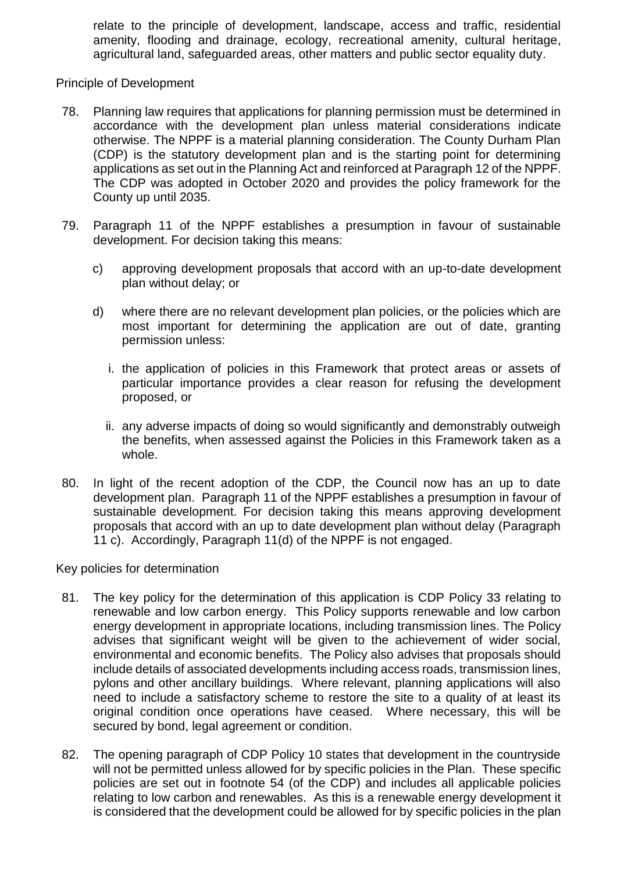relate to the principle of development, landscape, access and traffic, residential amenity, flooding and drainage, ecology, recreational amenity, cultural heritage, agricultural land, safeguarded areas, other matters and public sector equality duty.

Principle of Development

- 78. Planning law requires that applications for planning permission must be determined in accordance with the development plan unless material considerations indicate otherwise. The NPPF is a material planning consideration. The County Durham Plan (CDP) is the statutory development plan and is the starting point for determining applications as set out in the Planning Act and reinforced at Paragraph 12 of the NPPF. The CDP was adopted in October 2020 and provides the policy framework for the County up until 2035.
- 79. Paragraph 11 of the NPPF establishes a presumption in favour of sustainable development. For decision taking this means:
	- c) approving development proposals that accord with an up-to-date development plan without delay; or
	- d) where there are no relevant development plan policies, or the policies which are most important for determining the application are out of date, granting permission unless:
		- i. the application of policies in this Framework that protect areas or assets of particular importance provides a clear reason for refusing the development proposed, or
		- ii. any adverse impacts of doing so would significantly and demonstrably outweigh the benefits, when assessed against the Policies in this Framework taken as a whole.
- 80. In light of the recent adoption of the CDP, the Council now has an up to date development plan. Paragraph 11 of the NPPF establishes a presumption in favour of sustainable development. For decision taking this means approving development proposals that accord with an up to date development plan without delay (Paragraph 11 c). Accordingly, Paragraph 11(d) of the NPPF is not engaged.

Key policies for determination

- 81. The key policy for the determination of this application is CDP Policy 33 relating to renewable and low carbon energy. This Policy supports renewable and low carbon energy development in appropriate locations, including transmission lines. The Policy advises that significant weight will be given to the achievement of wider social, environmental and economic benefits. The Policy also advises that proposals should include details of associated developments including access roads, transmission lines, pylons and other ancillary buildings. Where relevant, planning applications will also need to include a satisfactory scheme to restore the site to a quality of at least its original condition once operations have ceased. Where necessary, this will be secured by bond, legal agreement or condition.
- 82. The opening paragraph of CDP Policy 10 states that development in the countryside will not be permitted unless allowed for by specific policies in the Plan. These specific policies are set out in footnote 54 (of the CDP) and includes all applicable policies relating to low carbon and renewables. As this is a renewable energy development it is considered that the development could be allowed for by specific policies in the plan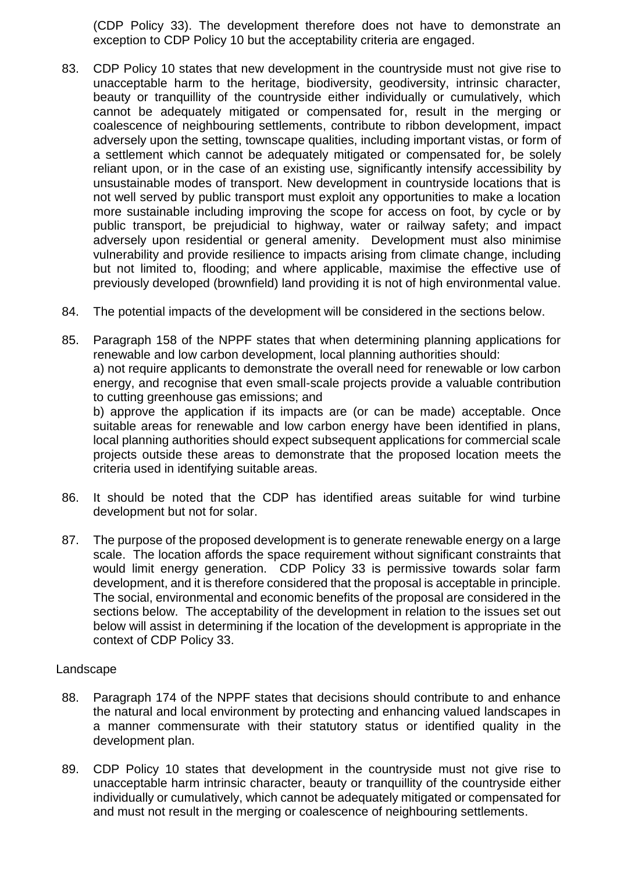(CDP Policy 33). The development therefore does not have to demonstrate an exception to CDP Policy 10 but the acceptability criteria are engaged.

- 83. CDP Policy 10 states that new development in the countryside must not give rise to unacceptable harm to the heritage, biodiversity, geodiversity, intrinsic character, beauty or tranquillity of the countryside either individually or cumulatively, which cannot be adequately mitigated or compensated for, result in the merging or coalescence of neighbouring settlements, contribute to ribbon development, impact adversely upon the setting, townscape qualities, including important vistas, or form of a settlement which cannot be adequately mitigated or compensated for, be solely reliant upon, or in the case of an existing use, significantly intensify accessibility by unsustainable modes of transport. New development in countryside locations that is not well served by public transport must exploit any opportunities to make a location more sustainable including improving the scope for access on foot, by cycle or by public transport, be prejudicial to highway, water or railway safety; and impact adversely upon residential or general amenity. Development must also minimise vulnerability and provide resilience to impacts arising from climate change, including but not limited to, flooding; and where applicable, maximise the effective use of previously developed (brownfield) land providing it is not of high environmental value.
- 84. The potential impacts of the development will be considered in the sections below.
- 85. Paragraph 158 of the NPPF states that when determining planning applications for renewable and low carbon development, local planning authorities should: a) not require applicants to demonstrate the overall need for renewable or low carbon energy, and recognise that even small-scale projects provide a valuable contribution to cutting greenhouse gas emissions; and

b) approve the application if its impacts are (or can be made) acceptable. Once suitable areas for renewable and low carbon energy have been identified in plans, local planning authorities should expect subsequent applications for commercial scale projects outside these areas to demonstrate that the proposed location meets the criteria used in identifying suitable areas.

- 86. It should be noted that the CDP has identified areas suitable for wind turbine development but not for solar.
- 87. The purpose of the proposed development is to generate renewable energy on a large scale. The location affords the space requirement without significant constraints that would limit energy generation. CDP Policy 33 is permissive towards solar farm development, and it is therefore considered that the proposal is acceptable in principle. The social, environmental and economic benefits of the proposal are considered in the sections below. The acceptability of the development in relation to the issues set out below will assist in determining if the location of the development is appropriate in the context of CDP Policy 33.

#### Landscape

- 88. Paragraph 174 of the NPPF states that decisions should contribute to and enhance the natural and local environment by protecting and enhancing valued landscapes in a manner commensurate with their statutory status or identified quality in the development plan.
- 89. CDP Policy 10 states that development in the countryside must not give rise to unacceptable harm intrinsic character, beauty or tranquillity of the countryside either individually or cumulatively, which cannot be adequately mitigated or compensated for and must not result in the merging or coalescence of neighbouring settlements.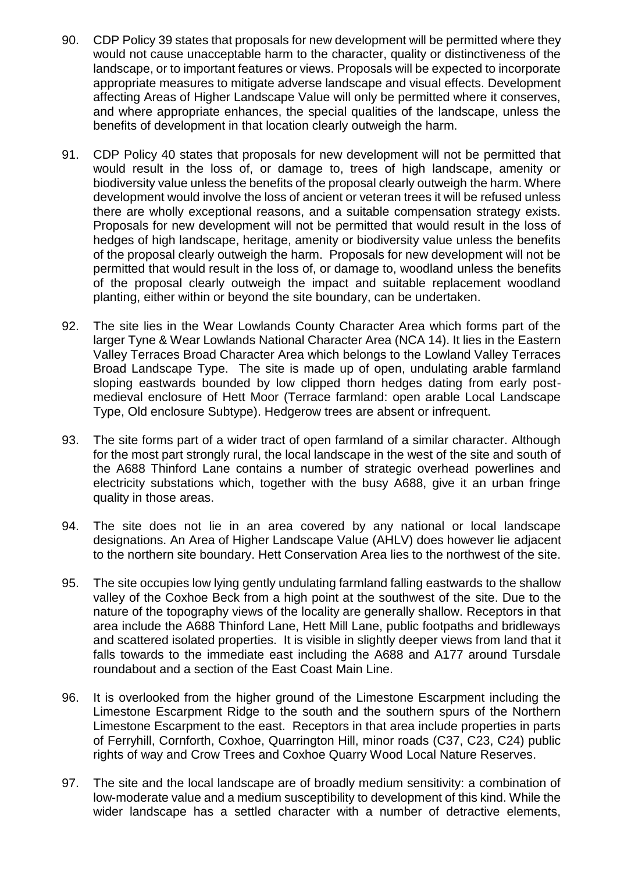- 90. CDP Policy 39 states that proposals for new development will be permitted where they would not cause unacceptable harm to the character, quality or distinctiveness of the landscape, or to important features or views. Proposals will be expected to incorporate appropriate measures to mitigate adverse landscape and visual effects. Development affecting Areas of Higher Landscape Value will only be permitted where it conserves, and where appropriate enhances, the special qualities of the landscape, unless the benefits of development in that location clearly outweigh the harm.
- 91. CDP Policy 40 states that proposals for new development will not be permitted that would result in the loss of, or damage to, trees of high landscape, amenity or biodiversity value unless the benefits of the proposal clearly outweigh the harm. Where development would involve the loss of ancient or veteran trees it will be refused unless there are wholly exceptional reasons, and a suitable compensation strategy exists. Proposals for new development will not be permitted that would result in the loss of hedges of high landscape, heritage, amenity or biodiversity value unless the benefits of the proposal clearly outweigh the harm. Proposals for new development will not be permitted that would result in the loss of, or damage to, woodland unless the benefits of the proposal clearly outweigh the impact and suitable replacement woodland planting, either within or beyond the site boundary, can be undertaken.
- 92. The site lies in the Wear Lowlands County Character Area which forms part of the larger Tyne & Wear Lowlands National Character Area (NCA 14). It lies in the Eastern Valley Terraces Broad Character Area which belongs to the Lowland Valley Terraces Broad Landscape Type. The site is made up of open, undulating arable farmland sloping eastwards bounded by low clipped thorn hedges dating from early postmedieval enclosure of Hett Moor (Terrace farmland: open arable Local Landscape Type, Old enclosure Subtype). Hedgerow trees are absent or infrequent.
- 93. The site forms part of a wider tract of open farmland of a similar character. Although for the most part strongly rural, the local landscape in the west of the site and south of the A688 Thinford Lane contains a number of strategic overhead powerlines and electricity substations which, together with the busy A688, give it an urban fringe quality in those areas.
- 94. The site does not lie in an area covered by any national or local landscape designations. An Area of Higher Landscape Value (AHLV) does however lie adjacent to the northern site boundary. Hett Conservation Area lies to the northwest of the site.
- 95. The site occupies low lying gently undulating farmland falling eastwards to the shallow valley of the Coxhoe Beck from a high point at the southwest of the site. Due to the nature of the topography views of the locality are generally shallow. Receptors in that area include the A688 Thinford Lane, Hett Mill Lane, public footpaths and bridleways and scattered isolated properties. It is visible in slightly deeper views from land that it falls towards to the immediate east including the A688 and A177 around Tursdale roundabout and a section of the East Coast Main Line.
- 96. It is overlooked from the higher ground of the Limestone Escarpment including the Limestone Escarpment Ridge to the south and the southern spurs of the Northern Limestone Escarpment to the east. Receptors in that area include properties in parts of Ferryhill, Cornforth, Coxhoe, Quarrington Hill, minor roads (C37, C23, C24) public rights of way and Crow Trees and Coxhoe Quarry Wood Local Nature Reserves.
- 97. The site and the local landscape are of broadly medium sensitivity: a combination of low-moderate value and a medium susceptibility to development of this kind. While the wider landscape has a settled character with a number of detractive elements,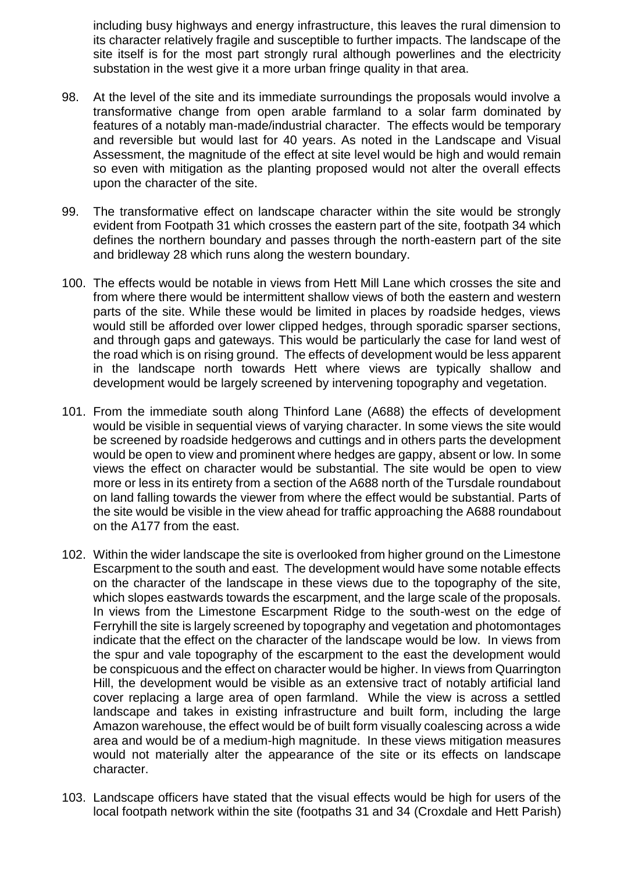including busy highways and energy infrastructure, this leaves the rural dimension to its character relatively fragile and susceptible to further impacts. The landscape of the site itself is for the most part strongly rural although powerlines and the electricity substation in the west give it a more urban fringe quality in that area.

- 98. At the level of the site and its immediate surroundings the proposals would involve a transformative change from open arable farmland to a solar farm dominated by features of a notably man-made/industrial character. The effects would be temporary and reversible but would last for 40 years. As noted in the Landscape and Visual Assessment, the magnitude of the effect at site level would be high and would remain so even with mitigation as the planting proposed would not alter the overall effects upon the character of the site.
- 99. The transformative effect on landscape character within the site would be strongly evident from Footpath 31 which crosses the eastern part of the site, footpath 34 which defines the northern boundary and passes through the north-eastern part of the site and bridleway 28 which runs along the western boundary.
- 100. The effects would be notable in views from Hett Mill Lane which crosses the site and from where there would be intermittent shallow views of both the eastern and western parts of the site. While these would be limited in places by roadside hedges, views would still be afforded over lower clipped hedges, through sporadic sparser sections, and through gaps and gateways. This would be particularly the case for land west of the road which is on rising ground. The effects of development would be less apparent in the landscape north towards Hett where views are typically shallow and development would be largely screened by intervening topography and vegetation.
- 101. From the immediate south along Thinford Lane (A688) the effects of development would be visible in sequential views of varying character. In some views the site would be screened by roadside hedgerows and cuttings and in others parts the development would be open to view and prominent where hedges are gappy, absent or low. In some views the effect on character would be substantial. The site would be open to view more or less in its entirety from a section of the A688 north of the Tursdale roundabout on land falling towards the viewer from where the effect would be substantial. Parts of the site would be visible in the view ahead for traffic approaching the A688 roundabout on the A177 from the east.
- 102. Within the wider landscape the site is overlooked from higher ground on the Limestone Escarpment to the south and east. The development would have some notable effects on the character of the landscape in these views due to the topography of the site, which slopes eastwards towards the escarpment, and the large scale of the proposals. In views from the Limestone Escarpment Ridge to the south-west on the edge of Ferryhill the site is largely screened by topography and vegetation and photomontages indicate that the effect on the character of the landscape would be low. In views from the spur and vale topography of the escarpment to the east the development would be conspicuous and the effect on character would be higher. In views from Quarrington Hill, the development would be visible as an extensive tract of notably artificial land cover replacing a large area of open farmland. While the view is across a settled landscape and takes in existing infrastructure and built form, including the large Amazon warehouse, the effect would be of built form visually coalescing across a wide area and would be of a medium-high magnitude. In these views mitigation measures would not materially alter the appearance of the site or its effects on landscape character.
- 103. Landscape officers have stated that the visual effects would be high for users of the local footpath network within the site (footpaths 31 and 34 (Croxdale and Hett Parish)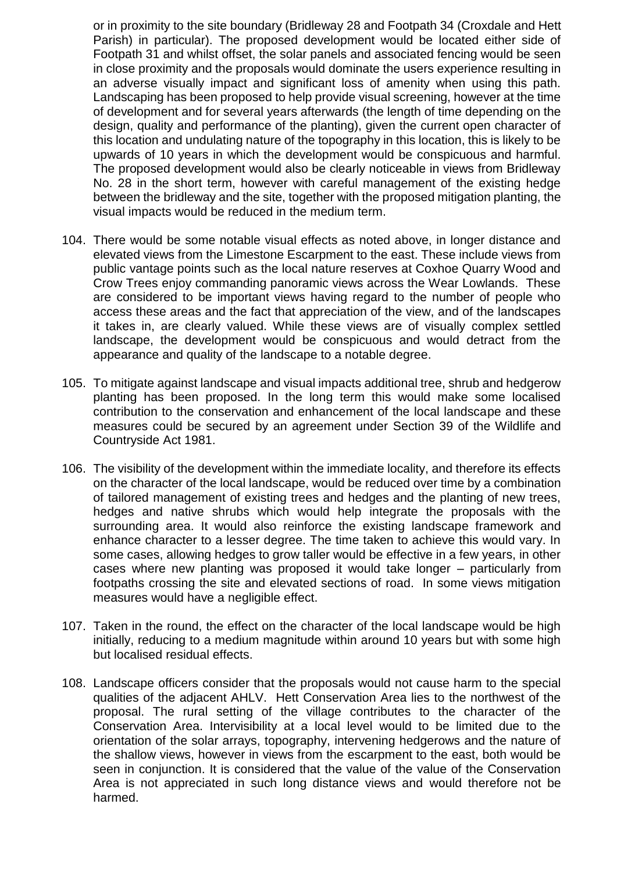or in proximity to the site boundary (Bridleway 28 and Footpath 34 (Croxdale and Hett Parish) in particular). The proposed development would be located either side of Footpath 31 and whilst offset, the solar panels and associated fencing would be seen in close proximity and the proposals would dominate the users experience resulting in an adverse visually impact and significant loss of amenity when using this path. Landscaping has been proposed to help provide visual screening, however at the time of development and for several years afterwards (the length of time depending on the design, quality and performance of the planting), given the current open character of this location and undulating nature of the topography in this location, this is likely to be upwards of 10 years in which the development would be conspicuous and harmful. The proposed development would also be clearly noticeable in views from Bridleway No. 28 in the short term, however with careful management of the existing hedge between the bridleway and the site, together with the proposed mitigation planting, the visual impacts would be reduced in the medium term.

- 104. There would be some notable visual effects as noted above, in longer distance and elevated views from the Limestone Escarpment to the east. These include views from public vantage points such as the local nature reserves at Coxhoe Quarry Wood and Crow Trees enjoy commanding panoramic views across the Wear Lowlands. These are considered to be important views having regard to the number of people who access these areas and the fact that appreciation of the view, and of the landscapes it takes in, are clearly valued. While these views are of visually complex settled landscape, the development would be conspicuous and would detract from the appearance and quality of the landscape to a notable degree.
- 105. To mitigate against landscape and visual impacts additional tree, shrub and hedgerow planting has been proposed. In the long term this would make some localised contribution to the conservation and enhancement of the local landscape and these measures could be secured by an agreement under Section 39 of the Wildlife and Countryside Act 1981.
- 106. The visibility of the development within the immediate locality, and therefore its effects on the character of the local landscape, would be reduced over time by a combination of tailored management of existing trees and hedges and the planting of new trees, hedges and native shrubs which would help integrate the proposals with the surrounding area. It would also reinforce the existing landscape framework and enhance character to a lesser degree. The time taken to achieve this would vary. In some cases, allowing hedges to grow taller would be effective in a few years, in other cases where new planting was proposed it would take longer – particularly from footpaths crossing the site and elevated sections of road. In some views mitigation measures would have a negligible effect.
- 107. Taken in the round, the effect on the character of the local landscape would be high initially, reducing to a medium magnitude within around 10 years but with some high but localised residual effects.
- 108. Landscape officers consider that the proposals would not cause harm to the special qualities of the adjacent AHLV. Hett Conservation Area lies to the northwest of the proposal. The rural setting of the village contributes to the character of the Conservation Area. Intervisibility at a local level would to be limited due to the orientation of the solar arrays, topography, intervening hedgerows and the nature of the shallow views, however in views from the escarpment to the east, both would be seen in conjunction. It is considered that the value of the value of the Conservation Area is not appreciated in such long distance views and would therefore not be harmed.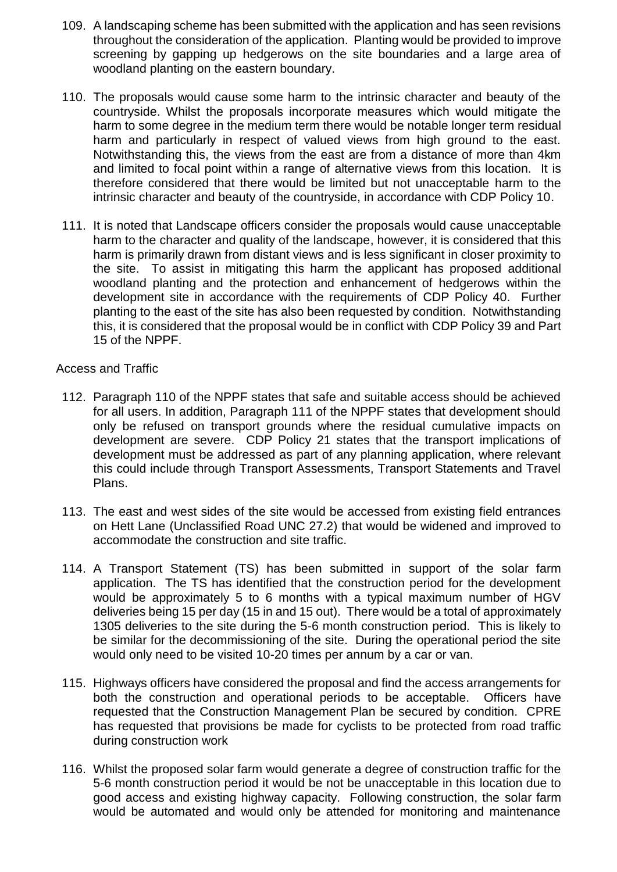- 109. A landscaping scheme has been submitted with the application and has seen revisions throughout the consideration of the application. Planting would be provided to improve screening by gapping up hedgerows on the site boundaries and a large area of woodland planting on the eastern boundary.
- 110. The proposals would cause some harm to the intrinsic character and beauty of the countryside. Whilst the proposals incorporate measures which would mitigate the harm to some degree in the medium term there would be notable longer term residual harm and particularly in respect of valued views from high ground to the east. Notwithstanding this, the views from the east are from a distance of more than 4km and limited to focal point within a range of alternative views from this location. It is therefore considered that there would be limited but not unacceptable harm to the intrinsic character and beauty of the countryside, in accordance with CDP Policy 10.
- 111. It is noted that Landscape officers consider the proposals would cause unacceptable harm to the character and quality of the landscape, however, it is considered that this harm is primarily drawn from distant views and is less significant in closer proximity to the site. To assist in mitigating this harm the applicant has proposed additional woodland planting and the protection and enhancement of hedgerows within the development site in accordance with the requirements of CDP Policy 40. Further planting to the east of the site has also been requested by condition. Notwithstanding this, it is considered that the proposal would be in conflict with CDP Policy 39 and Part 15 of the NPPF.

Access and Traffic

- 112. Paragraph 110 of the NPPF states that safe and suitable access should be achieved for all users. In addition, Paragraph 111 of the NPPF states that development should only be refused on transport grounds where the residual cumulative impacts on development are severe. CDP Policy 21 states that the transport implications of development must be addressed as part of any planning application, where relevant this could include through Transport Assessments, Transport Statements and Travel Plans.
- 113. The east and west sides of the site would be accessed from existing field entrances on Hett Lane (Unclassified Road UNC 27.2) that would be widened and improved to accommodate the construction and site traffic.
- 114. A Transport Statement (TS) has been submitted in support of the solar farm application. The TS has identified that the construction period for the development would be approximately 5 to 6 months with a typical maximum number of HGV deliveries being 15 per day (15 in and 15 out). There would be a total of approximately 1305 deliveries to the site during the 5-6 month construction period. This is likely to be similar for the decommissioning of the site. During the operational period the site would only need to be visited 10-20 times per annum by a car or van.
- 115. Highways officers have considered the proposal and find the access arrangements for both the construction and operational periods to be acceptable. Officers have requested that the Construction Management Plan be secured by condition. CPRE has requested that provisions be made for cyclists to be protected from road traffic during construction work
- 116. Whilst the proposed solar farm would generate a degree of construction traffic for the 5-6 month construction period it would be not be unacceptable in this location due to good access and existing highway capacity. Following construction, the solar farm would be automated and would only be attended for monitoring and maintenance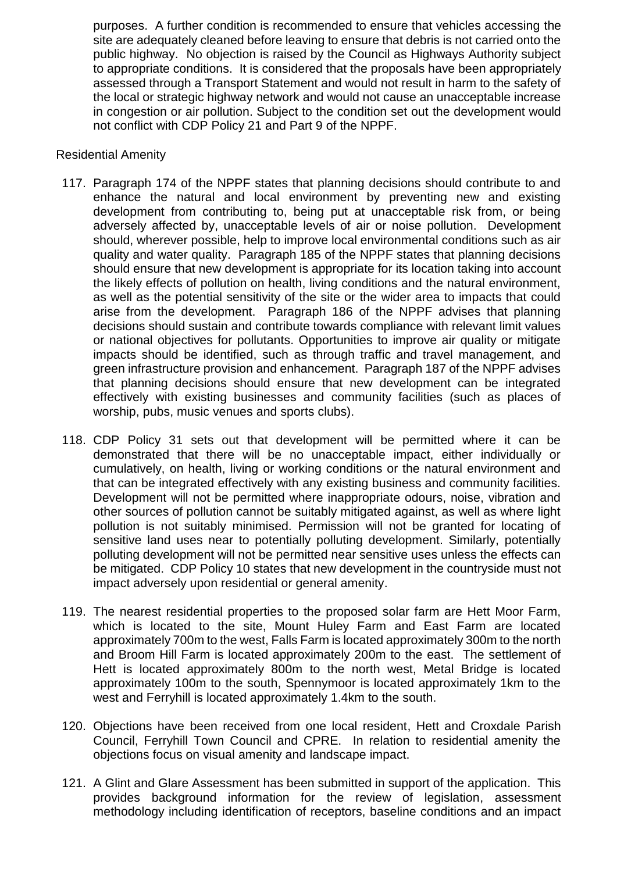purposes. A further condition is recommended to ensure that vehicles accessing the site are adequately cleaned before leaving to ensure that debris is not carried onto the public highway. No objection is raised by the Council as Highways Authority subject to appropriate conditions. It is considered that the proposals have been appropriately assessed through a Transport Statement and would not result in harm to the safety of the local or strategic highway network and would not cause an unacceptable increase in congestion or air pollution. Subject to the condition set out the development would not conflict with CDP Policy 21 and Part 9 of the NPPF.

## Residential Amenity

- 117. Paragraph 174 of the NPPF states that planning decisions should contribute to and enhance the natural and local environment by preventing new and existing development from contributing to, being put at unacceptable risk from, or being adversely affected by, unacceptable levels of air or noise pollution. Development should, wherever possible, help to improve local environmental conditions such as air quality and water quality. Paragraph 185 of the NPPF states that planning decisions should ensure that new development is appropriate for its location taking into account the likely effects of pollution on health, living conditions and the natural environment, as well as the potential sensitivity of the site or the wider area to impacts that could arise from the development. Paragraph 186 of the NPPF advises that planning decisions should sustain and contribute towards compliance with relevant limit values or national objectives for pollutants. Opportunities to improve air quality or mitigate impacts should be identified, such as through traffic and travel management, and green infrastructure provision and enhancement. Paragraph 187 of the NPPF advises that planning decisions should ensure that new development can be integrated effectively with existing businesses and community facilities (such as places of worship, pubs, music venues and sports clubs).
- 118. CDP Policy 31 sets out that development will be permitted where it can be demonstrated that there will be no unacceptable impact, either individually or cumulatively, on health, living or working conditions or the natural environment and that can be integrated effectively with any existing business and community facilities. Development will not be permitted where inappropriate odours, noise, vibration and other sources of pollution cannot be suitably mitigated against, as well as where light pollution is not suitably minimised. Permission will not be granted for locating of sensitive land uses near to potentially polluting development. Similarly, potentially polluting development will not be permitted near sensitive uses unless the effects can be mitigated. CDP Policy 10 states that new development in the countryside must not impact adversely upon residential or general amenity.
- 119. The nearest residential properties to the proposed solar farm are Hett Moor Farm, which is located to the site, Mount Huley Farm and East Farm are located approximately 700m to the west, Falls Farm is located approximately 300m to the north and Broom Hill Farm is located approximately 200m to the east. The settlement of Hett is located approximately 800m to the north west, Metal Bridge is located approximately 100m to the south, Spennymoor is located approximately 1km to the west and Ferryhill is located approximately 1.4km to the south.
- 120. Objections have been received from one local resident, Hett and Croxdale Parish Council, Ferryhill Town Council and CPRE. In relation to residential amenity the objections focus on visual amenity and landscape impact.
- 121. A Glint and Glare Assessment has been submitted in support of the application. This provides background information for the review of legislation, assessment methodology including identification of receptors, baseline conditions and an impact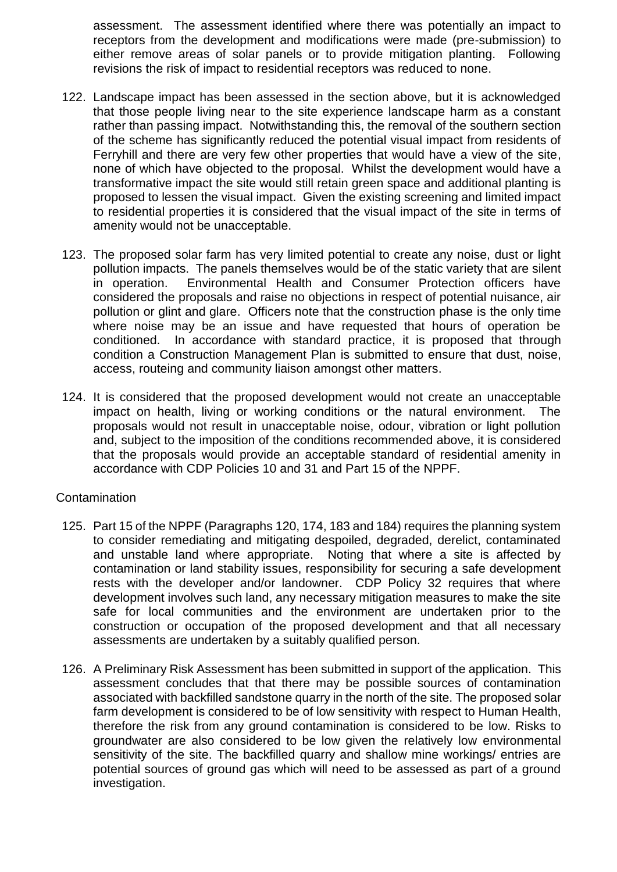assessment. The assessment identified where there was potentially an impact to receptors from the development and modifications were made (pre-submission) to either remove areas of solar panels or to provide mitigation planting. Following revisions the risk of impact to residential receptors was reduced to none.

- 122. Landscape impact has been assessed in the section above, but it is acknowledged that those people living near to the site experience landscape harm as a constant rather than passing impact. Notwithstanding this, the removal of the southern section of the scheme has significantly reduced the potential visual impact from residents of Ferryhill and there are very few other properties that would have a view of the site, none of which have objected to the proposal. Whilst the development would have a transformative impact the site would still retain green space and additional planting is proposed to lessen the visual impact. Given the existing screening and limited impact to residential properties it is considered that the visual impact of the site in terms of amenity would not be unacceptable.
- 123. The proposed solar farm has very limited potential to create any noise, dust or light pollution impacts. The panels themselves would be of the static variety that are silent in operation. Environmental Health and Consumer Protection officers have considered the proposals and raise no objections in respect of potential nuisance, air pollution or glint and glare. Officers note that the construction phase is the only time where noise may be an issue and have requested that hours of operation be conditioned. In accordance with standard practice, it is proposed that through condition a Construction Management Plan is submitted to ensure that dust, noise, access, routeing and community liaison amongst other matters.
- 124. It is considered that the proposed development would not create an unacceptable impact on health, living or working conditions or the natural environment. The proposals would not result in unacceptable noise, odour, vibration or light pollution and, subject to the imposition of the conditions recommended above, it is considered that the proposals would provide an acceptable standard of residential amenity in accordance with CDP Policies 10 and 31 and Part 15 of the NPPF.

## **Contamination**

- 125. Part 15 of the NPPF (Paragraphs 120, 174, 183 and 184) requires the planning system to consider remediating and mitigating despoiled, degraded, derelict, contaminated and unstable land where appropriate. Noting that where a site is affected by contamination or land stability issues, responsibility for securing a safe development rests with the developer and/or landowner. CDP Policy 32 requires that where development involves such land, any necessary mitigation measures to make the site safe for local communities and the environment are undertaken prior to the construction or occupation of the proposed development and that all necessary assessments are undertaken by a suitably qualified person.
- 126. A Preliminary Risk Assessment has been submitted in support of the application. This assessment concludes that that there may be possible sources of contamination associated with backfilled sandstone quarry in the north of the site. The proposed solar farm development is considered to be of low sensitivity with respect to Human Health, therefore the risk from any ground contamination is considered to be low. Risks to groundwater are also considered to be low given the relatively low environmental sensitivity of the site. The backfilled quarry and shallow mine workings/ entries are potential sources of ground gas which will need to be assessed as part of a ground investigation.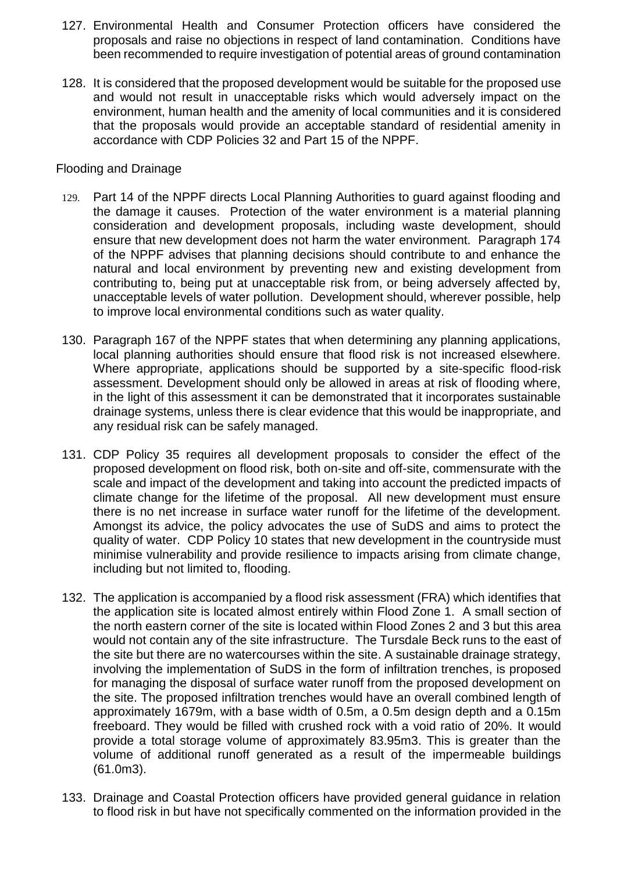- 127. Environmental Health and Consumer Protection officers have considered the proposals and raise no objections in respect of land contamination. Conditions have been recommended to require investigation of potential areas of ground contamination
- 128. It is considered that the proposed development would be suitable for the proposed use and would not result in unacceptable risks which would adversely impact on the environment, human health and the amenity of local communities and it is considered that the proposals would provide an acceptable standard of residential amenity in accordance with CDP Policies 32 and Part 15 of the NPPF.

#### Flooding and Drainage

- 129. Part 14 of the NPPF directs Local Planning Authorities to guard against flooding and the damage it causes. Protection of the water environment is a material planning consideration and development proposals, including waste development, should ensure that new development does not harm the water environment. Paragraph 174 of the NPPF advises that planning decisions should contribute to and enhance the natural and local environment by preventing new and existing development from contributing to, being put at unacceptable risk from, or being adversely affected by, unacceptable levels of water pollution. Development should, wherever possible, help to improve local environmental conditions such as water quality.
- 130. Paragraph 167 of the NPPF states that when determining any planning applications, local planning authorities should ensure that flood risk is not increased elsewhere. Where appropriate, applications should be supported by a site-specific flood-risk assessment. Development should only be allowed in areas at risk of flooding where, in the light of this assessment it can be demonstrated that it incorporates sustainable drainage systems, unless there is clear evidence that this would be inappropriate, and any residual risk can be safely managed.
- 131. CDP Policy 35 requires all development proposals to consider the effect of the proposed development on flood risk, both on-site and off-site, commensurate with the scale and impact of the development and taking into account the predicted impacts of climate change for the lifetime of the proposal. All new development must ensure there is no net increase in surface water runoff for the lifetime of the development. Amongst its advice, the policy advocates the use of SuDS and aims to protect the quality of water. CDP Policy 10 states that new development in the countryside must minimise vulnerability and provide resilience to impacts arising from climate change, including but not limited to, flooding.
- 132. The application is accompanied by a flood risk assessment (FRA) which identifies that the application site is located almost entirely within Flood Zone 1. A small section of the north eastern corner of the site is located within Flood Zones 2 and 3 but this area would not contain any of the site infrastructure. The Tursdale Beck runs to the east of the site but there are no watercourses within the site. A sustainable drainage strategy, involving the implementation of SuDS in the form of infiltration trenches, is proposed for managing the disposal of surface water runoff from the proposed development on the site. The proposed infiltration trenches would have an overall combined length of approximately 1679m, with a base width of 0.5m, a 0.5m design depth and a 0.15m freeboard. They would be filled with crushed rock with a void ratio of 20%. It would provide a total storage volume of approximately 83.95m3. This is greater than the volume of additional runoff generated as a result of the impermeable buildings (61.0m3).
- 133. Drainage and Coastal Protection officers have provided general guidance in relation to flood risk in but have not specifically commented on the information provided in the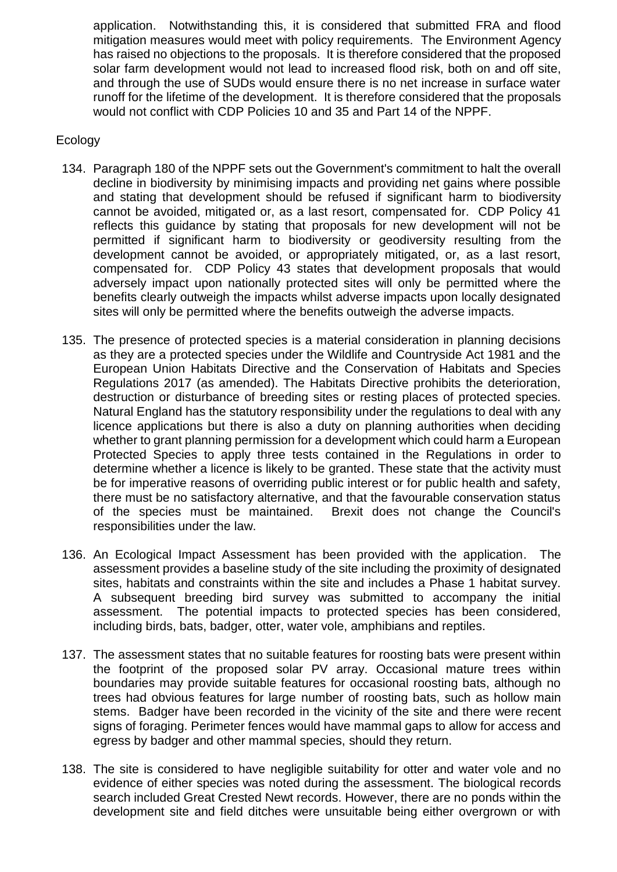application. Notwithstanding this, it is considered that submitted FRA and flood mitigation measures would meet with policy requirements. The Environment Agency has raised no objections to the proposals. It is therefore considered that the proposed solar farm development would not lead to increased flood risk, both on and off site, and through the use of SUDs would ensure there is no net increase in surface water runoff for the lifetime of the development. It is therefore considered that the proposals would not conflict with CDP Policies 10 and 35 and Part 14 of the NPPF.

## Ecology

- 134. Paragraph 180 of the NPPF sets out the Government's commitment to halt the overall decline in biodiversity by minimising impacts and providing net gains where possible and stating that development should be refused if significant harm to biodiversity cannot be avoided, mitigated or, as a last resort, compensated for. CDP Policy 41 reflects this guidance by stating that proposals for new development will not be permitted if significant harm to biodiversity or geodiversity resulting from the development cannot be avoided, or appropriately mitigated, or, as a last resort, compensated for. CDP Policy 43 states that development proposals that would adversely impact upon nationally protected sites will only be permitted where the benefits clearly outweigh the impacts whilst adverse impacts upon locally designated sites will only be permitted where the benefits outweigh the adverse impacts.
- 135. The presence of protected species is a material consideration in planning decisions as they are a protected species under the Wildlife and Countryside Act 1981 and the European Union Habitats Directive and the Conservation of Habitats and Species Regulations 2017 (as amended). The Habitats Directive prohibits the deterioration, destruction or disturbance of breeding sites or resting places of protected species. Natural England has the statutory responsibility under the regulations to deal with any licence applications but there is also a duty on planning authorities when deciding whether to grant planning permission for a development which could harm a European Protected Species to apply three tests contained in the Regulations in order to determine whether a licence is likely to be granted. These state that the activity must be for imperative reasons of overriding public interest or for public health and safety, there must be no satisfactory alternative, and that the favourable conservation status of the species must be maintained. Brexit does not change the Council's responsibilities under the law.
- 136. An Ecological Impact Assessment has been provided with the application. The assessment provides a baseline study of the site including the proximity of designated sites, habitats and constraints within the site and includes a Phase 1 habitat survey. A subsequent breeding bird survey was submitted to accompany the initial assessment. The potential impacts to protected species has been considered, including birds, bats, badger, otter, water vole, amphibians and reptiles.
- 137. The assessment states that no suitable features for roosting bats were present within the footprint of the proposed solar PV array. Occasional mature trees within boundaries may provide suitable features for occasional roosting bats, although no trees had obvious features for large number of roosting bats, such as hollow main stems. Badger have been recorded in the vicinity of the site and there were recent signs of foraging. Perimeter fences would have mammal gaps to allow for access and egress by badger and other mammal species, should they return.
- 138. The site is considered to have negligible suitability for otter and water vole and no evidence of either species was noted during the assessment. The biological records search included Great Crested Newt records. However, there are no ponds within the development site and field ditches were unsuitable being either overgrown or with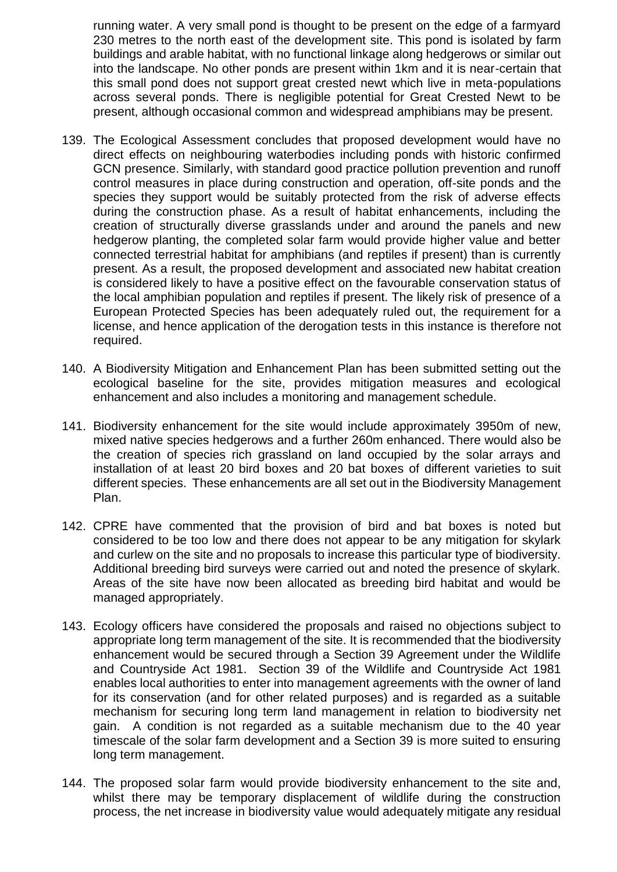running water. A very small pond is thought to be present on the edge of a farmyard 230 metres to the north east of the development site. This pond is isolated by farm buildings and arable habitat, with no functional linkage along hedgerows or similar out into the landscape. No other ponds are present within 1km and it is near-certain that this small pond does not support great crested newt which live in meta-populations across several ponds. There is negligible potential for Great Crested Newt to be present, although occasional common and widespread amphibians may be present.

- 139. The Ecological Assessment concludes that proposed development would have no direct effects on neighbouring waterbodies including ponds with historic confirmed GCN presence. Similarly, with standard good practice pollution prevention and runoff control measures in place during construction and operation, off-site ponds and the species they support would be suitably protected from the risk of adverse effects during the construction phase. As a result of habitat enhancements, including the creation of structurally diverse grasslands under and around the panels and new hedgerow planting, the completed solar farm would provide higher value and better connected terrestrial habitat for amphibians (and reptiles if present) than is currently present. As a result, the proposed development and associated new habitat creation is considered likely to have a positive effect on the favourable conservation status of the local amphibian population and reptiles if present. The likely risk of presence of a European Protected Species has been adequately ruled out, the requirement for a license, and hence application of the derogation tests in this instance is therefore not required.
- 140. A Biodiversity Mitigation and Enhancement Plan has been submitted setting out the ecological baseline for the site, provides mitigation measures and ecological enhancement and also includes a monitoring and management schedule.
- 141. Biodiversity enhancement for the site would include approximately 3950m of new, mixed native species hedgerows and a further 260m enhanced. There would also be the creation of species rich grassland on land occupied by the solar arrays and installation of at least 20 bird boxes and 20 bat boxes of different varieties to suit different species. These enhancements are all set out in the Biodiversity Management Plan.
- 142. CPRE have commented that the provision of bird and bat boxes is noted but considered to be too low and there does not appear to be any mitigation for skylark and curlew on the site and no proposals to increase this particular type of biodiversity. Additional breeding bird surveys were carried out and noted the presence of skylark. Areas of the site have now been allocated as breeding bird habitat and would be managed appropriately.
- 143. Ecology officers have considered the proposals and raised no objections subject to appropriate long term management of the site. It is recommended that the biodiversity enhancement would be secured through a Section 39 Agreement under the Wildlife and Countryside Act 1981. Section 39 of the Wildlife and Countryside Act 1981 enables local authorities to enter into management agreements with the owner of land for its conservation (and for other related purposes) and is regarded as a suitable mechanism for securing long term land management in relation to biodiversity net gain. A condition is not regarded as a suitable mechanism due to the 40 year timescale of the solar farm development and a Section 39 is more suited to ensuring long term management.
- 144. The proposed solar farm would provide biodiversity enhancement to the site and, whilst there may be temporary displacement of wildlife during the construction process, the net increase in biodiversity value would adequately mitigate any residual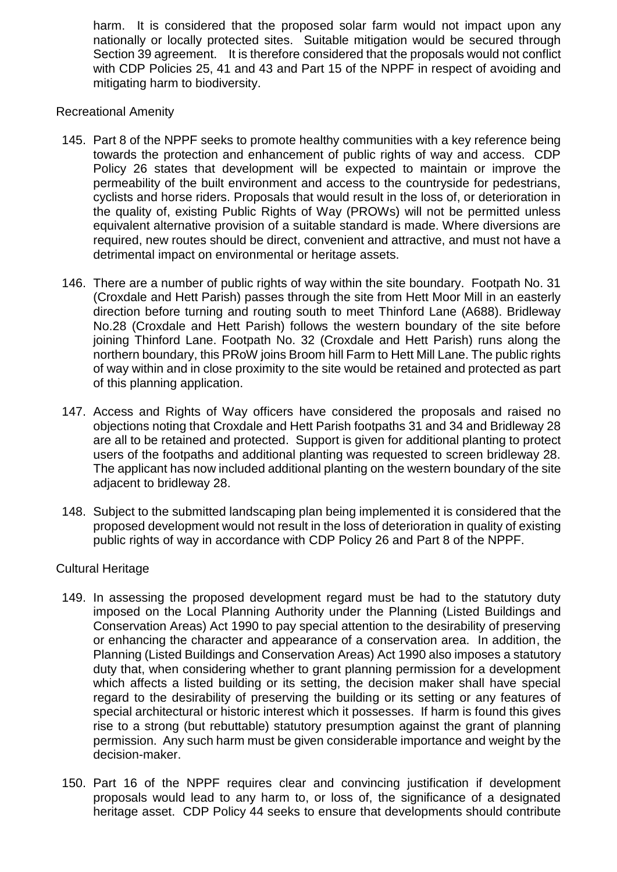harm. It is considered that the proposed solar farm would not impact upon any nationally or locally protected sites. Suitable mitigation would be secured through Section 39 agreement. It is therefore considered that the proposals would not conflict with CDP Policies 25, 41 and 43 and Part 15 of the NPPF in respect of avoiding and mitigating harm to biodiversity.

Recreational Amenity

- 145. Part 8 of the NPPF seeks to promote healthy communities with a key reference being towards the protection and enhancement of public rights of way and access. CDP Policy 26 states that development will be expected to maintain or improve the permeability of the built environment and access to the countryside for pedestrians, cyclists and horse riders. Proposals that would result in the loss of, or deterioration in the quality of, existing Public Rights of Way (PROWs) will not be permitted unless equivalent alternative provision of a suitable standard is made. Where diversions are required, new routes should be direct, convenient and attractive, and must not have a detrimental impact on environmental or heritage assets.
- 146. There are a number of public rights of way within the site boundary. Footpath No. 31 (Croxdale and Hett Parish) passes through the site from Hett Moor Mill in an easterly direction before turning and routing south to meet Thinford Lane (A688). Bridleway No.28 (Croxdale and Hett Parish) follows the western boundary of the site before joining Thinford Lane. Footpath No. 32 (Croxdale and Hett Parish) runs along the northern boundary, this PRoW joins Broom hill Farm to Hett Mill Lane. The public rights of way within and in close proximity to the site would be retained and protected as part of this planning application.
- 147. Access and Rights of Way officers have considered the proposals and raised no objections noting that Croxdale and Hett Parish footpaths 31 and 34 and Bridleway 28 are all to be retained and protected. Support is given for additional planting to protect users of the footpaths and additional planting was requested to screen bridleway 28. The applicant has now included additional planting on the western boundary of the site adjacent to bridleway 28.
- 148. Subject to the submitted landscaping plan being implemented it is considered that the proposed development would not result in the loss of deterioration in quality of existing public rights of way in accordance with CDP Policy 26 and Part 8 of the NPPF.

## Cultural Heritage

- 149. In assessing the proposed development regard must be had to the statutory duty imposed on the Local Planning Authority under the Planning (Listed Buildings and Conservation Areas) Act 1990 to pay special attention to the desirability of preserving or enhancing the character and appearance of a conservation area. In addition, the Planning (Listed Buildings and Conservation Areas) Act 1990 also imposes a statutory duty that, when considering whether to grant planning permission for a development which affects a listed building or its setting, the decision maker shall have special regard to the desirability of preserving the building or its setting or any features of special architectural or historic interest which it possesses. If harm is found this gives rise to a strong (but rebuttable) statutory presumption against the grant of planning permission. Any such harm must be given considerable importance and weight by the decision-maker.
- 150. Part 16 of the NPPF requires clear and convincing justification if development proposals would lead to any harm to, or loss of, the significance of a designated heritage asset. CDP Policy 44 seeks to ensure that developments should contribute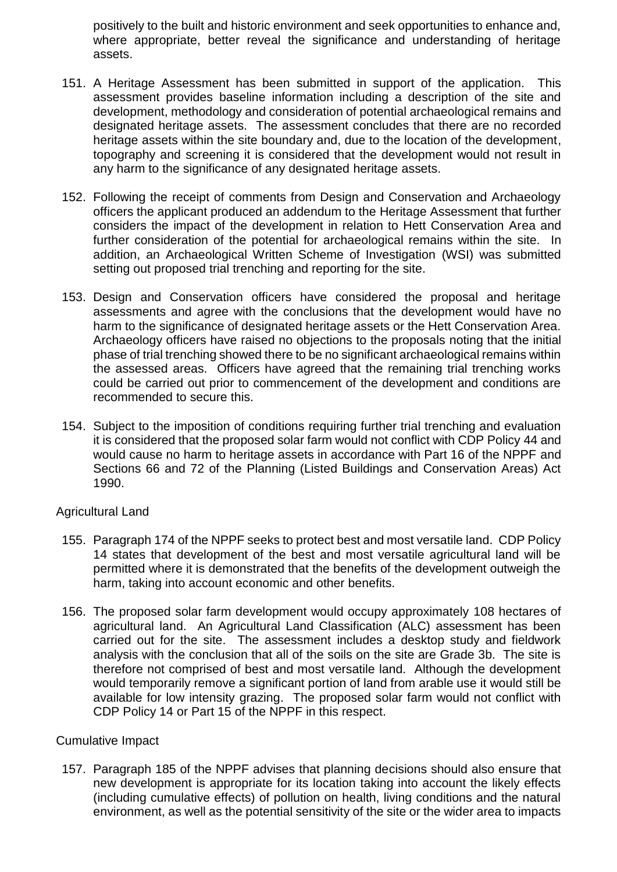positively to the built and historic environment and seek opportunities to enhance and, where appropriate, better reveal the significance and understanding of heritage assets.

- 151. A Heritage Assessment has been submitted in support of the application. This assessment provides baseline information including a description of the site and development, methodology and consideration of potential archaeological remains and designated heritage assets. The assessment concludes that there are no recorded heritage assets within the site boundary and, due to the location of the development, topography and screening it is considered that the development would not result in any harm to the significance of any designated heritage assets.
- 152. Following the receipt of comments from Design and Conservation and Archaeology officers the applicant produced an addendum to the Heritage Assessment that further considers the impact of the development in relation to Hett Conservation Area and further consideration of the potential for archaeological remains within the site. In addition, an Archaeological Written Scheme of Investigation (WSI) was submitted setting out proposed trial trenching and reporting for the site.
- 153. Design and Conservation officers have considered the proposal and heritage assessments and agree with the conclusions that the development would have no harm to the significance of designated heritage assets or the Hett Conservation Area. Archaeology officers have raised no objections to the proposals noting that the initial phase of trial trenching showed there to be no significant archaeological remains within the assessed areas. Officers have agreed that the remaining trial trenching works could be carried out prior to commencement of the development and conditions are recommended to secure this.
- 154. Subject to the imposition of conditions requiring further trial trenching and evaluation it is considered that the proposed solar farm would not conflict with CDP Policy 44 and would cause no harm to heritage assets in accordance with Part 16 of the NPPF and Sections 66 and 72 of the Planning (Listed Buildings and Conservation Areas) Act 1990.

## Agricultural Land

- 155. Paragraph 174 of the NPPF seeks to protect best and most versatile land. CDP Policy 14 states that development of the best and most versatile agricultural land will be permitted where it is demonstrated that the benefits of the development outweigh the harm, taking into account economic and other benefits.
- 156. The proposed solar farm development would occupy approximately 108 hectares of agricultural land. An Agricultural Land Classification (ALC) assessment has been carried out for the site. The assessment includes a desktop study and fieldwork analysis with the conclusion that all of the soils on the site are Grade 3b. The site is therefore not comprised of best and most versatile land. Although the development would temporarily remove a significant portion of land from arable use it would still be available for low intensity grazing. The proposed solar farm would not conflict with CDP Policy 14 or Part 15 of the NPPF in this respect.

## Cumulative Impact

157. Paragraph 185 of the NPPF advises that planning decisions should also ensure that new development is appropriate for its location taking into account the likely effects (including cumulative effects) of pollution on health, living conditions and the natural environment, as well as the potential sensitivity of the site or the wider area to impacts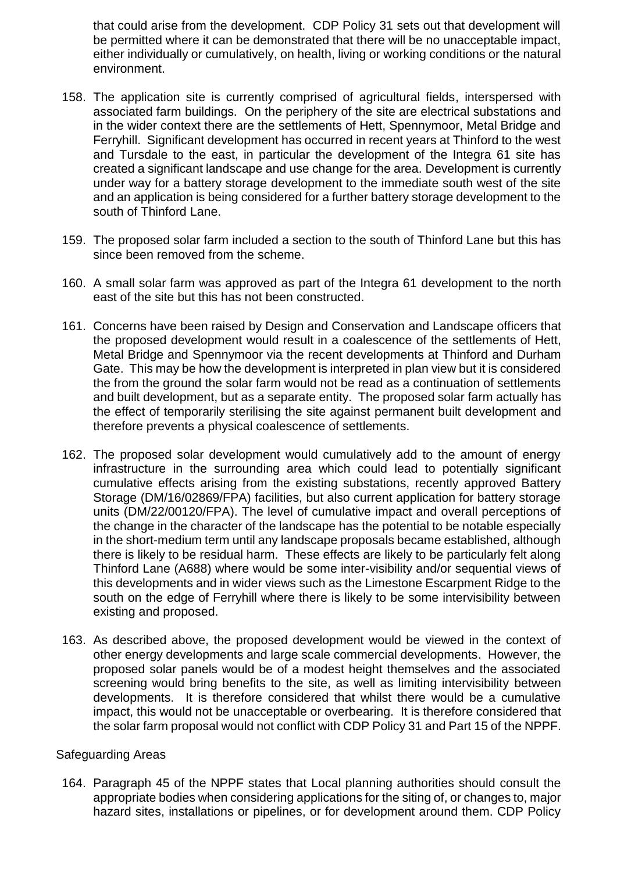that could arise from the development. CDP Policy 31 sets out that development will be permitted where it can be demonstrated that there will be no unacceptable impact, either individually or cumulatively, on health, living or working conditions or the natural environment.

- 158. The application site is currently comprised of agricultural fields, interspersed with associated farm buildings. On the periphery of the site are electrical substations and in the wider context there are the settlements of Hett, Spennymoor, Metal Bridge and Ferryhill. Significant development has occurred in recent years at Thinford to the west and Tursdale to the east, in particular the development of the Integra 61 site has created a significant landscape and use change for the area. Development is currently under way for a battery storage development to the immediate south west of the site and an application is being considered for a further battery storage development to the south of Thinford Lane.
- 159. The proposed solar farm included a section to the south of Thinford Lane but this has since been removed from the scheme.
- 160. A small solar farm was approved as part of the Integra 61 development to the north east of the site but this has not been constructed.
- 161. Concerns have been raised by Design and Conservation and Landscape officers that the proposed development would result in a coalescence of the settlements of Hett, Metal Bridge and Spennymoor via the recent developments at Thinford and Durham Gate. This may be how the development is interpreted in plan view but it is considered the from the ground the solar farm would not be read as a continuation of settlements and built development, but as a separate entity. The proposed solar farm actually has the effect of temporarily sterilising the site against permanent built development and therefore prevents a physical coalescence of settlements.
- 162. The proposed solar development would cumulatively add to the amount of energy infrastructure in the surrounding area which could lead to potentially significant cumulative effects arising from the existing substations, recently approved Battery Storage (DM/16/02869/FPA) facilities, but also current application for battery storage units (DM/22/00120/FPA). The level of cumulative impact and overall perceptions of the change in the character of the landscape has the potential to be notable especially in the short-medium term until any landscape proposals became established, although there is likely to be residual harm. These effects are likely to be particularly felt along Thinford Lane (A688) where would be some inter-visibility and/or sequential views of this developments and in wider views such as the Limestone Escarpment Ridge to the south on the edge of Ferryhill where there is likely to be some intervisibility between existing and proposed.
- 163. As described above, the proposed development would be viewed in the context of other energy developments and large scale commercial developments. However, the proposed solar panels would be of a modest height themselves and the associated screening would bring benefits to the site, as well as limiting intervisibility between developments. It is therefore considered that whilst there would be a cumulative impact, this would not be unacceptable or overbearing. It is therefore considered that the solar farm proposal would not conflict with CDP Policy 31 and Part 15 of the NPPF.

## Safeguarding Areas

164. Paragraph 45 of the NPPF states that Local planning authorities should consult the appropriate bodies when considering applications for the siting of, or changes to, major hazard sites, installations or pipelines, or for development around them. CDP Policy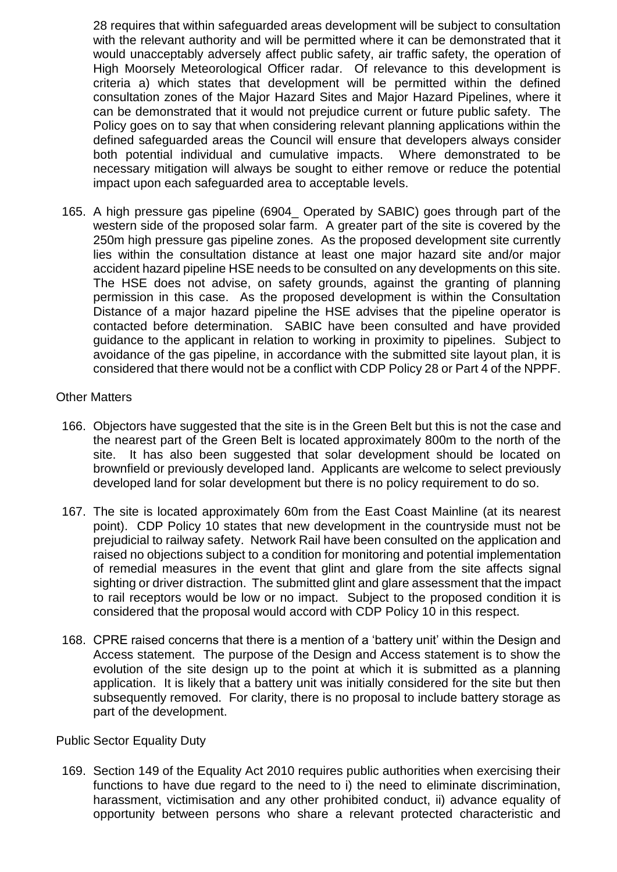28 requires that within safeguarded areas development will be subject to consultation with the relevant authority and will be permitted where it can be demonstrated that it would unacceptably adversely affect public safety, air traffic safety, the operation of High Moorsely Meteorological Officer radar. Of relevance to this development is criteria a) which states that development will be permitted within the defined consultation zones of the Major Hazard Sites and Major Hazard Pipelines, where it can be demonstrated that it would not prejudice current or future public safety. The Policy goes on to say that when considering relevant planning applications within the defined safeguarded areas the Council will ensure that developers always consider both potential individual and cumulative impacts. Where demonstrated to be necessary mitigation will always be sought to either remove or reduce the potential impact upon each safeguarded area to acceptable levels.

165. A high pressure gas pipeline (6904\_ Operated by SABIC) goes through part of the western side of the proposed solar farm. A greater part of the site is covered by the 250m high pressure gas pipeline zones. As the proposed development site currently lies within the consultation distance at least one major hazard site and/or major accident hazard pipeline HSE needs to be consulted on any developments on this site. The HSE does not advise, on safety grounds, against the granting of planning permission in this case. As the proposed development is within the Consultation Distance of a major hazard pipeline the HSE advises that the pipeline operator is contacted before determination. SABIC have been consulted and have provided guidance to the applicant in relation to working in proximity to pipelines. Subject to avoidance of the gas pipeline, in accordance with the submitted site layout plan, it is considered that there would not be a conflict with CDP Policy 28 or Part 4 of the NPPF.

## Other Matters

- 166. Objectors have suggested that the site is in the Green Belt but this is not the case and the nearest part of the Green Belt is located approximately 800m to the north of the site. It has also been suggested that solar development should be located on brownfield or previously developed land. Applicants are welcome to select previously developed land for solar development but there is no policy requirement to do so.
- 167. The site is located approximately 60m from the East Coast Mainline (at its nearest point). CDP Policy 10 states that new development in the countryside must not be prejudicial to railway safety. Network Rail have been consulted on the application and raised no objections subject to a condition for monitoring and potential implementation of remedial measures in the event that glint and glare from the site affects signal sighting or driver distraction. The submitted glint and glare assessment that the impact to rail receptors would be low or no impact. Subject to the proposed condition it is considered that the proposal would accord with CDP Policy 10 in this respect.
- 168. CPRE raised concerns that there is a mention of a 'battery unit' within the Design and Access statement. The purpose of the Design and Access statement is to show the evolution of the site design up to the point at which it is submitted as a planning application. It is likely that a battery unit was initially considered for the site but then subsequently removed. For clarity, there is no proposal to include battery storage as part of the development.

Public Sector Equality Duty

169. Section 149 of the Equality Act 2010 requires public authorities when exercising their functions to have due regard to the need to i) the need to eliminate discrimination, harassment, victimisation and any other prohibited conduct, ii) advance equality of opportunity between persons who share a relevant protected characteristic and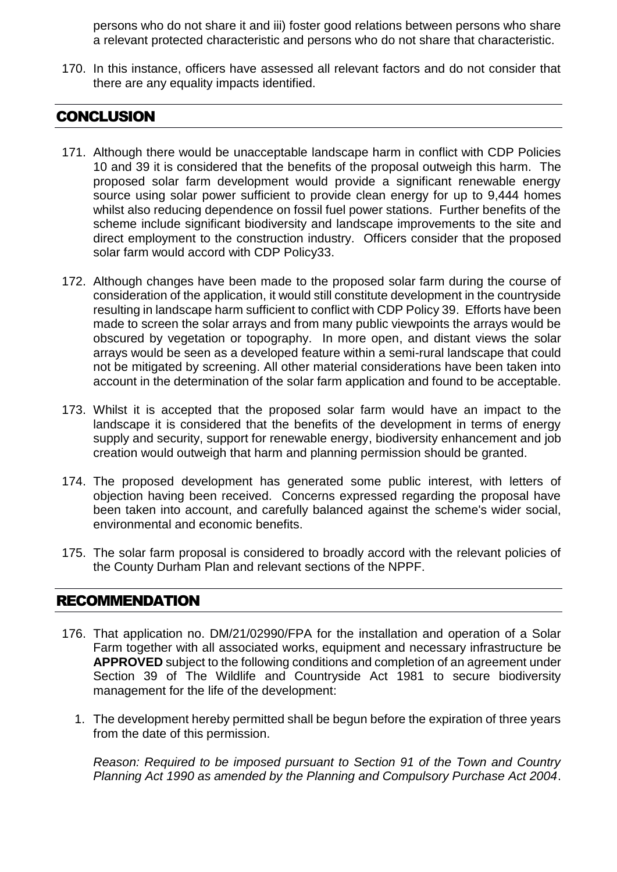persons who do not share it and iii) foster good relations between persons who share a relevant protected characteristic and persons who do not share that characteristic.

170. In this instance, officers have assessed all relevant factors and do not consider that there are any equality impacts identified.

# CONCLUSION

- 171. Although there would be unacceptable landscape harm in conflict with CDP Policies 10 and 39 it is considered that the benefits of the proposal outweigh this harm. The proposed solar farm development would provide a significant renewable energy source using solar power sufficient to provide clean energy for up to 9,444 homes whilst also reducing dependence on fossil fuel power stations. Further benefits of the scheme include significant biodiversity and landscape improvements to the site and direct employment to the construction industry. Officers consider that the proposed solar farm would accord with CDP Policy33.
- 172. Although changes have been made to the proposed solar farm during the course of consideration of the application, it would still constitute development in the countryside resulting in landscape harm sufficient to conflict with CDP Policy 39. Efforts have been made to screen the solar arrays and from many public viewpoints the arrays would be obscured by vegetation or topography. In more open, and distant views the solar arrays would be seen as a developed feature within a semi-rural landscape that could not be mitigated by screening. All other material considerations have been taken into account in the determination of the solar farm application and found to be acceptable.
- 173. Whilst it is accepted that the proposed solar farm would have an impact to the landscape it is considered that the benefits of the development in terms of energy supply and security, support for renewable energy, biodiversity enhancement and job creation would outweigh that harm and planning permission should be granted.
- 174. The proposed development has generated some public interest, with letters of objection having been received. Concerns expressed regarding the proposal have been taken into account, and carefully balanced against the scheme's wider social, environmental and economic benefits.
- 175. The solar farm proposal is considered to broadly accord with the relevant policies of the County Durham Plan and relevant sections of the NPPF.

# RECOMMENDATION

- 176. That application no. DM/21/02990/FPA for the installation and operation of a Solar Farm together with all associated works, equipment and necessary infrastructure be **APPROVED** subject to the following conditions and completion of an agreement under Section 39 of The Wildlife and Countryside Act 1981 to secure biodiversity management for the life of the development:
	- 1. The development hereby permitted shall be begun before the expiration of three years from the date of this permission.

*Reason: Required to be imposed pursuant to Section 91 of the Town and Country Planning Act 1990 as amended by the Planning and Compulsory Purchase Act 2004*.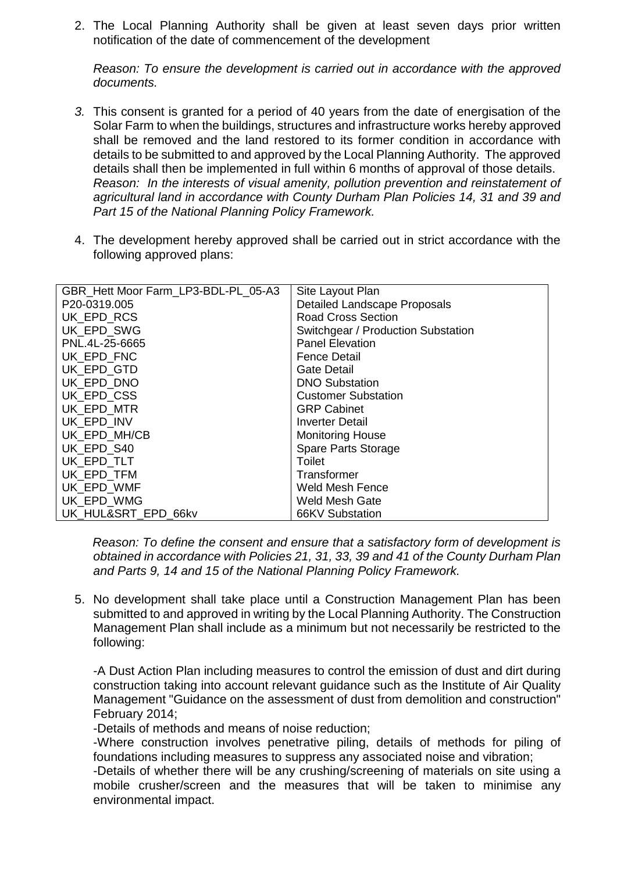2. The Local Planning Authority shall be given at least seven days prior written notification of the date of commencement of the development

*Reason: To ensure the development is carried out in accordance with the approved documents.*

- *3.* This consent is granted for a period of 40 years from the date of energisation of the Solar Farm to when the buildings, structures and infrastructure works hereby approved shall be removed and the land restored to its former condition in accordance with details to be submitted to and approved by the Local Planning Authority. The approved details shall then be implemented in full within 6 months of approval of those details. *Reason: In the interests of visual amenity, pollution prevention and reinstatement of agricultural land in accordance with County Durham Plan Policies 14, 31 and 39 and Part 15 of the National Planning Policy Framework.*
- 4. The development hereby approved shall be carried out in strict accordance with the following approved plans:

| GBR_Hett Moor Farm_LP3-BDL-PL_05-A3 | Site Layout Plan                    |
|-------------------------------------|-------------------------------------|
| P20-0319.005                        | <b>Detailed Landscape Proposals</b> |
| UK EPD RCS                          | <b>Road Cross Section</b>           |
| UK EPD SWG                          | Switchgear / Production Substation  |
| PNL.4L-25-6665                      | <b>Panel Elevation</b>              |
| UK EPD FNC                          | <b>Fence Detail</b>                 |
| UK EPD GTD                          | <b>Gate Detail</b>                  |
| UK EPD DNO                          | <b>DNO Substation</b>               |
| UK EPD CSS                          | <b>Customer Substation</b>          |
| UK EPD MTR                          | <b>GRP Cabinet</b>                  |
| UK EPD INV                          | <b>Inverter Detail</b>              |
| UK EPD MH/CB                        | <b>Monitoring House</b>             |
| UK EPD S40                          | <b>Spare Parts Storage</b>          |
| UK EPD TLT                          | Toilet                              |
| UK EPD TFM                          | Transformer                         |
| UK EPD WMF                          | Weld Mesh Fence                     |
| UK_EPD_WMG                          | Weld Mesh Gate                      |
| UK HUL&SRT EPD 66kv                 | 66KV Substation                     |

*Reason: To define the consent and ensure that a satisfactory form of development is obtained in accordance with Policies 21, 31, 33, 39 and 41 of the County Durham Plan and Parts 9, 14 and 15 of the National Planning Policy Framework.*

5. No development shall take place until a Construction Management Plan has been submitted to and approved in writing by the Local Planning Authority. The Construction Management Plan shall include as a minimum but not necessarily be restricted to the following:

-A Dust Action Plan including measures to control the emission of dust and dirt during construction taking into account relevant guidance such as the Institute of Air Quality Management "Guidance on the assessment of dust from demolition and construction" February 2014;

-Details of methods and means of noise reduction;

-Where construction involves penetrative piling, details of methods for piling of foundations including measures to suppress any associated noise and vibration;

-Details of whether there will be any crushing/screening of materials on site using a mobile crusher/screen and the measures that will be taken to minimise any environmental impact.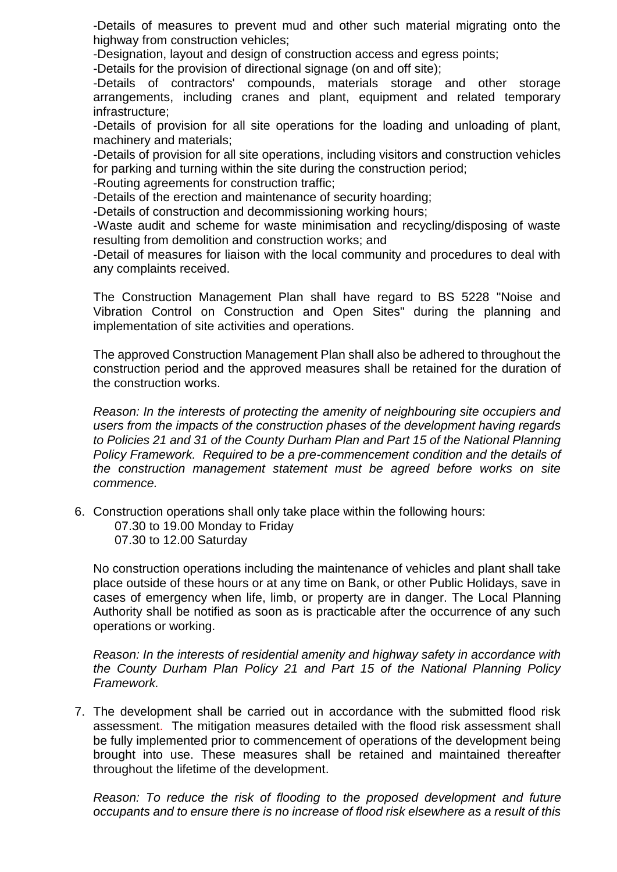-Details of measures to prevent mud and other such material migrating onto the highway from construction vehicles;

-Designation, layout and design of construction access and egress points;

-Details for the provision of directional signage (on and off site);

-Details of contractors' compounds, materials storage and other storage arrangements, including cranes and plant, equipment and related temporary infrastructure;

-Details of provision for all site operations for the loading and unloading of plant, machinery and materials;

-Details of provision for all site operations, including visitors and construction vehicles for parking and turning within the site during the construction period;

-Routing agreements for construction traffic;

-Details of the erection and maintenance of security hoarding;

-Details of construction and decommissioning working hours;

-Waste audit and scheme for waste minimisation and recycling/disposing of waste resulting from demolition and construction works; and

-Detail of measures for liaison with the local community and procedures to deal with any complaints received.

The Construction Management Plan shall have regard to BS 5228 "Noise and Vibration Control on Construction and Open Sites" during the planning and implementation of site activities and operations.

The approved Construction Management Plan shall also be adhered to throughout the construction period and the approved measures shall be retained for the duration of the construction works.

*Reason: In the interests of protecting the amenity of neighbouring site occupiers and users from the impacts of the construction phases of the development having regards to Policies 21 and 31 of the County Durham Plan and Part 15 of the National Planning Policy Framework. Required to be a pre-commencement condition and the details of the construction management statement must be agreed before works on site commence.* 

6. Construction operations shall only take place within the following hours: 07.30 to 19.00 Monday to Friday 07.30 to 12.00 Saturday

No construction operations including the maintenance of vehicles and plant shall take place outside of these hours or at any time on Bank, or other Public Holidays, save in cases of emergency when life, limb, or property are in danger. The Local Planning Authority shall be notified as soon as is practicable after the occurrence of any such operations or working.

*Reason: In the interests of residential amenity and highway safety in accordance with the County Durham Plan Policy 21 and Part 15 of the National Planning Policy Framework.*

7. The development shall be carried out in accordance with the submitted flood risk assessment. The mitigation measures detailed with the flood risk assessment shall be fully implemented prior to commencement of operations of the development being brought into use. These measures shall be retained and maintained thereafter throughout the lifetime of the development.

*Reason: To reduce the risk of flooding to the proposed development and future occupants and to ensure there is no increase of flood risk elsewhere as a result of this*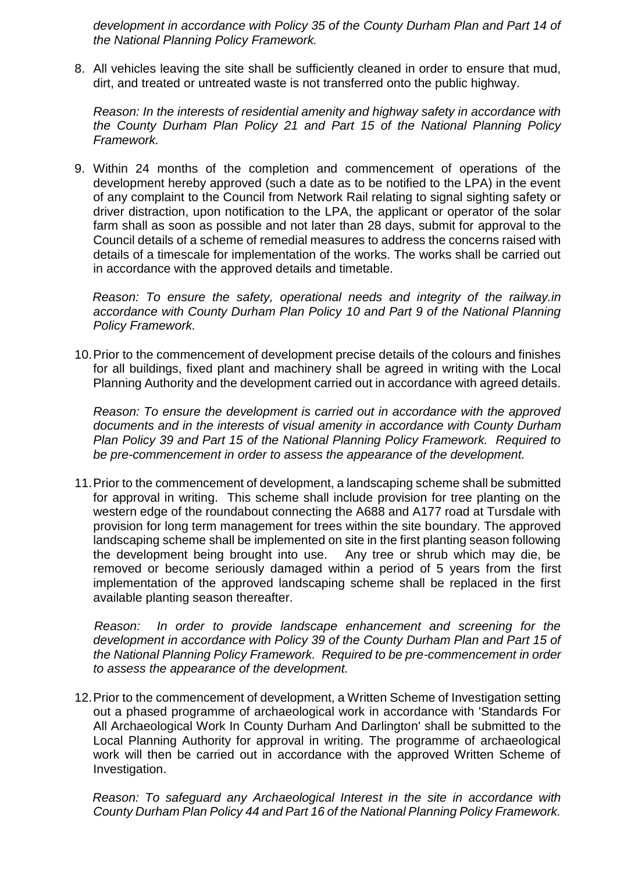*development in accordance with Policy 35 of the County Durham Plan and Part 14 of the National Planning Policy Framework.*

8. All vehicles leaving the site shall be sufficiently cleaned in order to ensure that mud, dirt, and treated or untreated waste is not transferred onto the public highway.

*Reason: In the interests of residential amenity and highway safety in accordance with the County Durham Plan Policy 21 and Part 15 of the National Planning Policy Framework.*

9. Within 24 months of the completion and commencement of operations of the development hereby approved (such a date as to be notified to the LPA) in the event of any complaint to the Council from Network Rail relating to signal sighting safety or driver distraction, upon notification to the LPA, the applicant or operator of the solar farm shall as soon as possible and not later than 28 days, submit for approval to the Council details of a scheme of remedial measures to address the concerns raised with details of a timescale for implementation of the works. The works shall be carried out in accordance with the approved details and timetable.

*Reason: To ensure the safety, operational needs and integrity of the railway.in accordance with County Durham Plan Policy 10 and Part 9 of the National Planning Policy Framework.* 

10.Prior to the commencement of development precise details of the colours and finishes for all buildings, fixed plant and machinery shall be agreed in writing with the Local Planning Authority and the development carried out in accordance with agreed details.

*Reason: To ensure the development is carried out in accordance with the approved documents and in the interests of visual amenity in accordance with County Durham Plan Policy 39 and Part 15 of the National Planning Policy Framework. Required to be pre-commencement in order to assess the appearance of the development.*

11.Prior to the commencement of development, a landscaping scheme shall be submitted for approval in writing. This scheme shall include provision for tree planting on the western edge of the roundabout connecting the A688 and A177 road at Tursdale with provision for long term management for trees within the site boundary. The approved landscaping scheme shall be implemented on site in the first planting season following the development being brought into use. Any tree or shrub which may die, be removed or become seriously damaged within a period of 5 years from the first implementation of the approved landscaping scheme shall be replaced in the first available planting season thereafter.

 *Reason: In order to provide landscape enhancement and screening for the development in accordance with Policy 39 of the County Durham Plan and Part 15 of the National Planning Policy Framework. Required to be pre-commencement in order to assess the appearance of the development.*

12.Prior to the commencement of development, a Written Scheme of Investigation setting out a phased programme of archaeological work in accordance with 'Standards For All Archaeological Work In County Durham And Darlington' shall be submitted to the Local Planning Authority for approval in writing. The programme of archaeological work will then be carried out in accordance with the approved Written Scheme of Investigation.

*Reason: To safeguard any Archaeological Interest in the site in accordance with County Durham Plan Policy 44 and Part 16 of the National Planning Policy Framework.*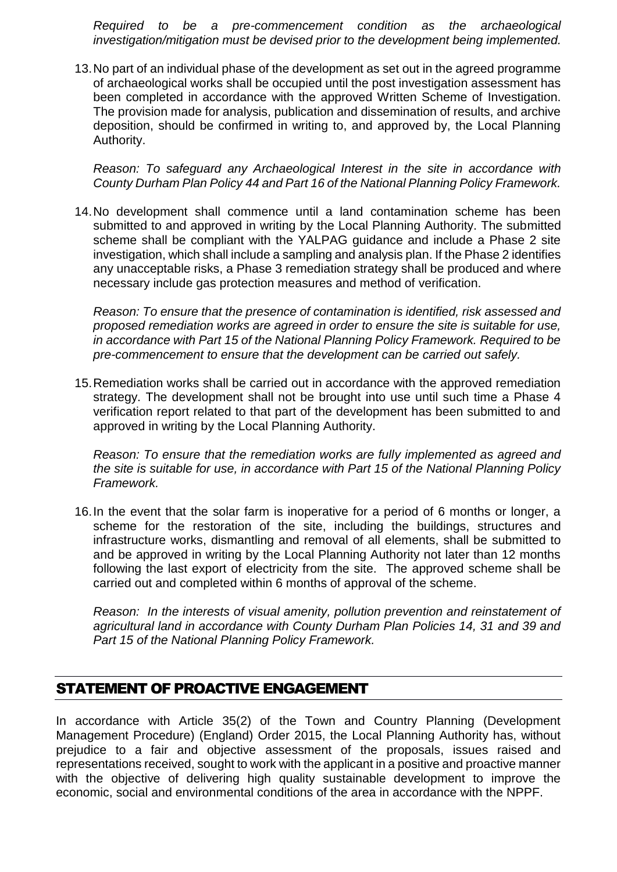*Required to be a pre-commencement condition as the archaeological investigation/mitigation must be devised prior to the development being implemented.*

13.No part of an individual phase of the development as set out in the agreed programme of archaeological works shall be occupied until the post investigation assessment has been completed in accordance with the approved Written Scheme of Investigation. The provision made for analysis, publication and dissemination of results, and archive deposition, should be confirmed in writing to, and approved by, the Local Planning Authority.

*Reason: To safeguard any Archaeological Interest in the site in accordance with County Durham Plan Policy 44 and Part 16 of the National Planning Policy Framework.*

14.No development shall commence until a land contamination scheme has been submitted to and approved in writing by the Local Planning Authority. The submitted scheme shall be compliant with the YALPAG guidance and include a Phase 2 site investigation, which shall include a sampling and analysis plan. If the Phase 2 identifies any unacceptable risks, a Phase 3 remediation strategy shall be produced and where necessary include gas protection measures and method of verification.

*Reason: To ensure that the presence of contamination is identified, risk assessed and proposed remediation works are agreed in order to ensure the site is suitable for use, in accordance with Part 15 of the National Planning Policy Framework. Required to be pre-commencement to ensure that the development can be carried out safely.* 

15.Remediation works shall be carried out in accordance with the approved remediation strategy. The development shall not be brought into use until such time a Phase 4 verification report related to that part of the development has been submitted to and approved in writing by the Local Planning Authority.

*Reason: To ensure that the remediation works are fully implemented as agreed and the site is suitable for use, in accordance with Part 15 of the National Planning Policy Framework.*

16.In the event that the solar farm is inoperative for a period of 6 months or longer, a scheme for the restoration of the site, including the buildings, structures and infrastructure works, dismantling and removal of all elements, shall be submitted to and be approved in writing by the Local Planning Authority not later than 12 months following the last export of electricity from the site. The approved scheme shall be carried out and completed within 6 months of approval of the scheme.

*Reason: In the interests of visual amenity, pollution prevention and reinstatement of agricultural land in accordance with County Durham Plan Policies 14, 31 and 39 and Part 15 of the National Planning Policy Framework.* 

# STATEMENT OF PROACTIVE ENGAGEMENT

In accordance with Article 35(2) of the Town and Country Planning (Development Management Procedure) (England) Order 2015, the Local Planning Authority has, without prejudice to a fair and objective assessment of the proposals, issues raised and representations received, sought to work with the applicant in a positive and proactive manner with the objective of delivering high quality sustainable development to improve the economic, social and environmental conditions of the area in accordance with the NPPF.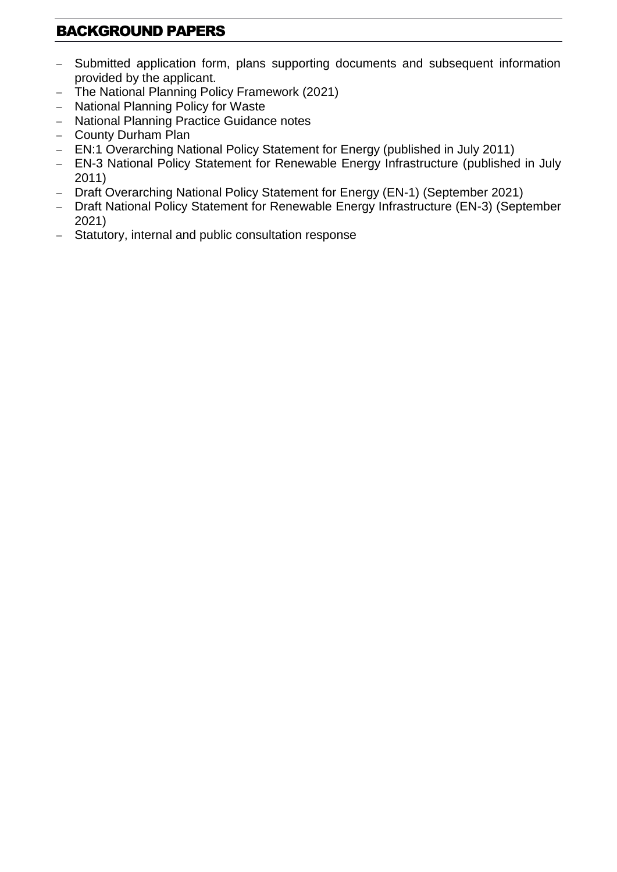# BACKGROUND PAPERS

- Submitted application form, plans supporting documents and subsequent information provided by the applicant.
- The National Planning Policy Framework (2021)
- National Planning Policy for Waste
- National Planning Practice Guidance notes
- County Durham Plan
- EN:1 Overarching National Policy Statement for Energy (published in July 2011)
- EN-3 National Policy Statement for Renewable Energy Infrastructure (published in July 2011)
- Draft Overarching National Policy Statement for Energy (EN-1) (September 2021)
- Draft National Policy Statement for Renewable Energy Infrastructure (EN-3) (September 2021)
- Statutory, internal and public consultation response